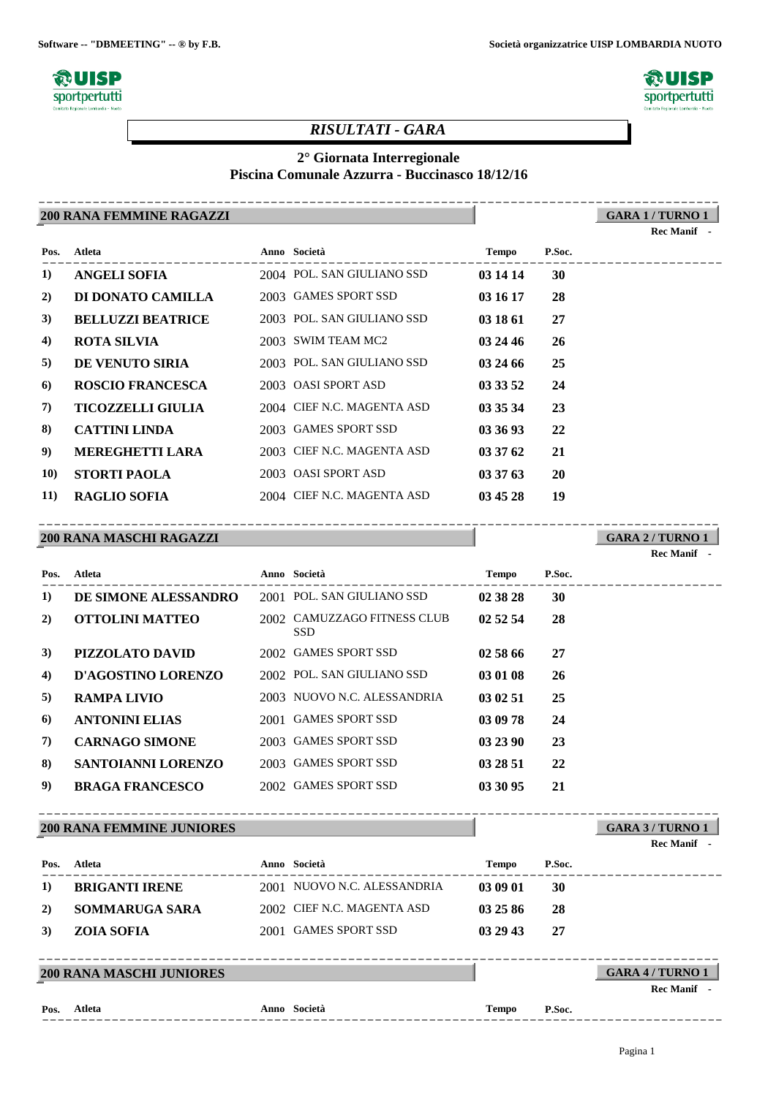**Software -- "DBMEETING" -- ® by F.B. Società organizzatrice UISP LOMBARDIA NUOTO**





**GARA 1 / TURNO 1**

### *RISULTATI - GARA*

### **2° Giornata Interregionale**

#### **Piscina Comunale Azzurra - Buccinasco 18/12/16**

#### **200 RANA FEMMINE RAGAZZI** ----------------------------------------------------------------------------------------

|             |                          |                            |          |           | Rec Manif - |
|-------------|--------------------------|----------------------------|----------|-----------|-------------|
| Pos.        | Atleta                   | <b>Anno Società</b>        | Tempo    | P.Soc.    |             |
| 1)          | ANGELI SOFIA             | 2004 POL. SAN GIULIANO SSD | 03 14 14 | <b>30</b> |             |
| 2)          | DI DONATO CAMILLA        | 2003 GAMES SPORT SSD       | 03 16 17 | 28        |             |
| 3)          | <b>BELLUZZI BEATRICE</b> | 2003 POL. SAN GIULIANO SSD | 03 18 61 | 27        |             |
| 4)          | ROTA SILVIA              | 2003 SWIM TEAM MC2         | 03 24 46 | <b>26</b> |             |
| 5)          | DE VENUTO SIRIA          | 2003 POL. SAN GIULIANO SSD | 03 24 66 | 25        |             |
| 6           | <b>ROSCIO FRANCESCA</b>  | 2003 OASI SPORT ASD        | 03 33 52 | 24        |             |
| 7)          | <b>TICOZZELLI GIULIA</b> | 2004 CIEF N.C. MAGENTA ASD | 03 35 34 | 23        |             |
| 8)          | <b>CATTINI LINDA</b>     | 2003 GAMES SPORT SSD       | 03 36 93 | 22        |             |
| 9)          | <b>MEREGHETTI LARA</b>   | 2003 CIEF N.C. MAGENTA ASD | 03 37 62 | 21        |             |
| <b>10)</b>  | <b>STORTI PAOLA</b>      | 2003 OASI SPORT ASD        | 03 37 63 | 20        |             |
| <b>11</b> ) | RAGLIO SOFIA             | 2004 CIEF N.C. MAGENTA ASD | 03 45 28 | 19        |             |

#### **200 RANA MASCHI RAGAZZI** ----------------------------------------------------------------------------------------

**GARA 2 / TURNO 1**

**Rec Manif -** 

| Pos.     | Atleta                    | Anno Società                              | <b>Tempo</b> | P.Soc. |  |
|----------|---------------------------|-------------------------------------------|--------------|--------|--|
| $\bf{1}$ | DE SIMONE ALESSANDRO      | 2001 POL. SAN GIULIANO SSD                | 02 38 28     | 30     |  |
| 2)       | <b>OTTOLINI MATTEO</b>    | 2002 CAMUZZAGO FITNESS CLUB<br><b>SSD</b> | 02 52 54     | 28     |  |
| 3)       | <b>PIZZOLATO DAVID</b>    | 2002 GAMES SPORT SSD                      | 02 58 66     | 27     |  |
| 4)       | D'AGOSTINO LORENZO        | 2002 POL. SAN GIULIANO SSD                | 03 01 08     | 26     |  |
| 5)       | <b>RAMPA LIVIO</b>        | 2003 NUOVO N.C. ALESSANDRIA               | 03 02 51     | 25     |  |
| 6)       | <b>ANTONINI ELIAS</b>     | 2001 GAMES SPORT SSD                      | 03 09 78     | 24     |  |
| 7)       | <b>CARNAGO SIMONE</b>     | 2003 GAMES SPORT SSD                      | 03 23 90     | 23     |  |
| 8)       | <b>SANTOIANNI LORENZO</b> | 2003 GAMES SPORT SSD                      | 03 28 51     | 22     |  |
| 9)       | <b>BRAGA FRANCESCO</b>    | 2002 GAMES SPORT SSD                      | 03 30 95     | 21     |  |

#### **200 RANA FEMMINE JUNIORES** ----------------------------------------------------------------------------------------

**Pos.**

|      |                                 |                             |              |        | <b>Rec Manif</b>      |
|------|---------------------------------|-----------------------------|--------------|--------|-----------------------|
| Pos. | Atleta                          | Anno Società                | <b>Tempo</b> | P.Soc. |                       |
| 1)   | <b>BRIGANTI IRENE</b>           | 2001 NUOVO N.C. ALESSANDRIA | 03 09 01     | 30     |                       |
| 2)   | <b>SOMMARUGA SARA</b>           | 2002 CIEF N.C. MAGENTA ASD  | 03 25 86     | 28     |                       |
| 3)   | <b>ZOIA SOFIA</b>               | 2001 GAMES SPORT SSD        | 03 29 43     | 27     |                       |
|      |                                 |                             |              |        |                       |
|      | <b>200 RANA MASCHI JUNIORES</b> |                             |              |        | <b>GARA 4/TURNO 1</b> |
|      |                                 |                             |              |        | <b>Rec Manif</b>      |

**GARA 3 / TURNO 1**

----------------------------------------------------------------------------------------

**Atleta Anno Società Tempo P.Soc.**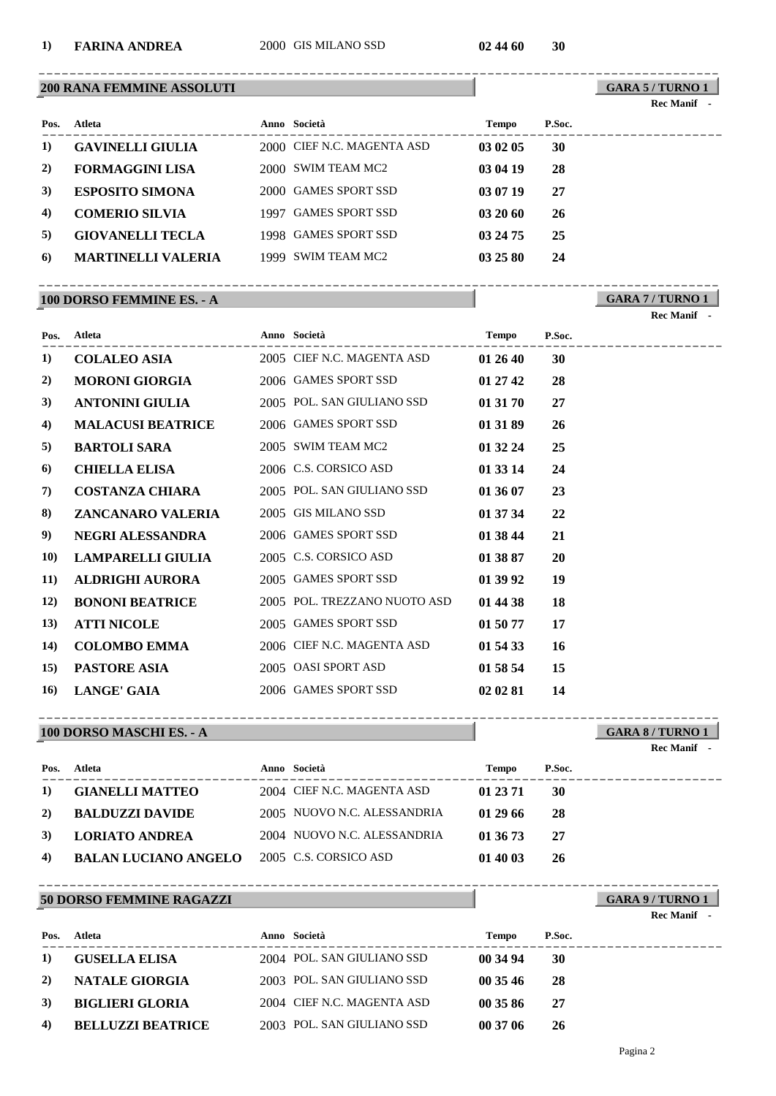#### **1) FARINA ANDREA** 2000 GIS MILANO SSD **02 44 60 30**

#### **200 RANA FEMMINE ASSOLUTI**

**GARA 5 / TURNO 1** ----------------------------------------------------------------------------------------

**GARA 7 / TURNO 1**

**Rec Manif** 

| Rec | Manif |  |
|-----|-------|--|
|     |       |  |

| Pos. | Atleta                    | Anno Società               | Tempo    | P.Soc. |
|------|---------------------------|----------------------------|----------|--------|
| 1)   | <b>GAVINELLI GIULIA</b>   | 2000 CIEF N.C. MAGENTA ASD | 03 02 05 | 30     |
| 2)   | <b>FORMAGGINI LISA</b>    | 2000 SWIM TEAM MC2         | 03 04 19 | 28     |
| 3)   | <b>ESPOSITO SIMONA</b>    | 2000 GAMES SPORT SSD       | 03 07 19 | 27     |
| 4)   | <b>COMERIO SILVIA</b>     | 1997 GAMES SPORT SSD       | 032060   | 26     |
| 5)   | <b>GIOVANELLI TECLA</b>   | 1998 GAMES SPORT SSD       | 03 24 75 | 25     |
| 6    | <b>MARTINELLI VALERIA</b> | 1999 SWIM TEAM MC2         | 03 25 80 | 24     |

----------------------------------------------------------------------------------------

#### **100 DORSO FEMMINE ES. - A**

---------------------------------------------------------------------------------------- **Atleta Anno Società Tempo P.Soc. Pos. 1) COLALEO ASIA** 2005 CIEF N.C. MAGENTA ASD **01 26 40 30 2) MORONI GIORGIA** 2006 GAMES SPORT SSD **01 27 42 28 3) ANTONINI GIULIA** 2005 POL. SAN GIULIANO SSD **01 31 70 27 4) MALACUSI BEATRICE** 2006 GAMES SPORT SSD **01 31 89 26 5) BARTOLI SARA** 2005 SWIM TEAM MC2 **01 32 24 25 6) CHIELLA ELISA** 2006 C.S. CORSICO ASD **01 33 14 24 7) COSTANZA CHIARA** 2005 POL. SAN GIULIANO SSD **01 36 07 23 8) ZANCANARO VALERIA** 2005 GIS MILANO SSD **01 37 34 22 9) NEGRI ALESSANDRA** 2006 GAMES SPORT SSD **01 38 44 21 10) LAMPARELLI GIULIA** 2005 C.S. CORSICO ASD **01 38 87 20 11) ALDRIGHI AURORA** 2005 GAMES SPORT SSD **01 39 92 19 12) BONONI BEATRICE** 2005 POL. TREZZANO NUOTO ASD **01 44 38 18 13) ATTI NICOLE** 2005 GAMES SPORT SSD **01 50 77 17 14) COLOMBO EMMA** 2006 CIEF N.C. MAGENTA ASD **01 54 33 16 15) PASTORE ASIA** 2005 OASI SPORT ASD **01 58 54 15 16) LANGE' GAIA** 2006 GAMES SPORT SSD **02 02 81 14**

#### **100 DORSO MASCHI ES. - A**

**GARA 8 / TURNO 1** ---------------------------------------------------------------------------------------- **Rec Manif** 

| Pos. | Atleta                      | Anno Società                | <b>Tempo</b> | P.Soc. |
|------|-----------------------------|-----------------------------|--------------|--------|
| 1)   | <b>GIANELLI MATTEO</b>      | 2004 CIEF N.C. MAGENTA ASD  | 01 23 71     | -30    |
| 2)   | <b>BALDUZZI DAVIDE</b>      | 2005 NUOVO N.C. ALESSANDRIA | 012966       | -28    |
| 3)   | LORIATO ANDREA              | 2004 NUOVO N.C. ALESSANDRIA | 01 36 73     | 27     |
| 4)   | <b>BALAN LUCIANO ANGELO</b> | 2005 C.S. CORSICO ASD       | 01 40 03     | -26    |

#### **50 DORSO FEMMINE RAGAZZI**

| <b>50 DORSO FEMMINE RAGAZZI</b> | GARA 9/TURNO |
|---------------------------------|--------------|

|  | <b>Rec Manif</b> |  |
|--|------------------|--|
|--|------------------|--|

| Pos.       | Atleta                   | Anno Società               | <b>Tempo</b> | P.Soc. |
|------------|--------------------------|----------------------------|--------------|--------|
| 1)         | <b>GUSELLA ELISA</b>     | 2004 POL. SAN GIULIANO SSD | 00 34 94     | -30    |
| 2)         | <b>NATALE GIORGIA</b>    | 2003 POL. SAN GIULIANO SSD | 00.3546      | -28    |
| <b>3</b> ) | <b>BIGLIERI GLORIA</b>   | 2004 CIEF N.C. MAGENTA ASD | 003586       | -27    |
| 4)         | <b>BELLUZZI BEATRICE</b> | 2003 POL. SAN GIULIANO SSD | 00 37 06     | -26    |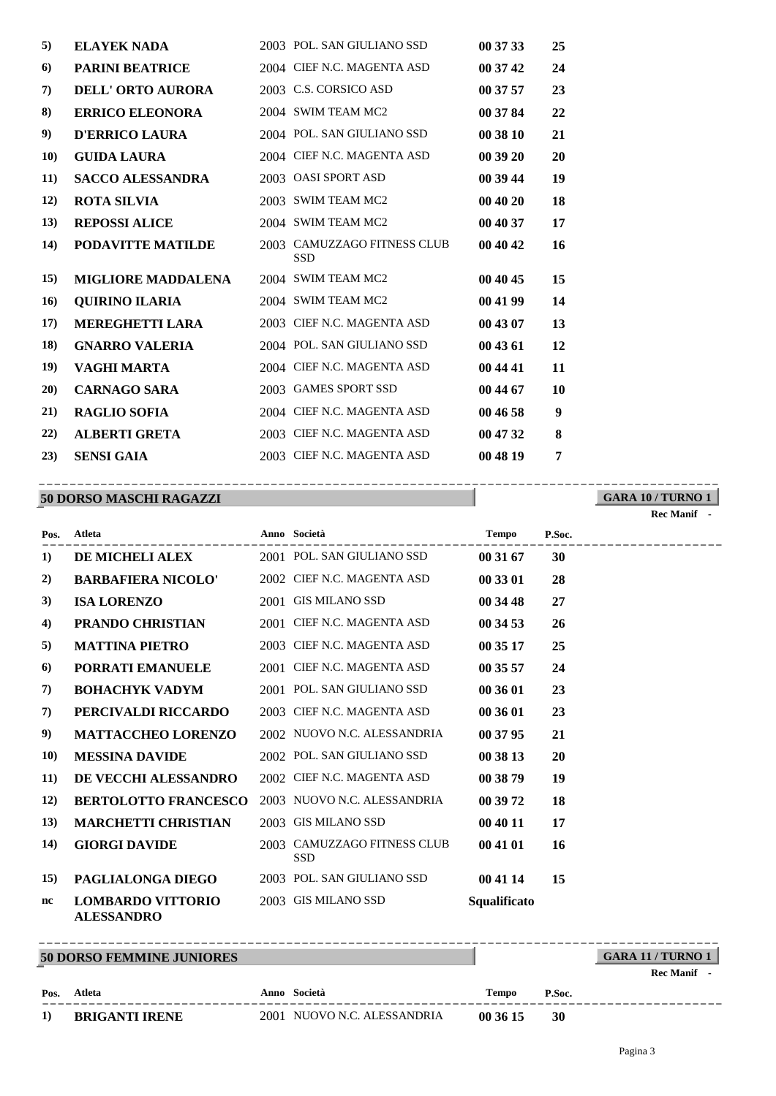| 5)          | <b>ELAYEK NADA</b>        | 2003 POL. SAN GIULIANO SSD                | 00 37 33 | 25 |
|-------------|---------------------------|-------------------------------------------|----------|----|
| 6)          | <b>PARINI BEATRICE</b>    | 2004 CIEF N.C. MAGENTA ASD                | 00 37 42 | 24 |
| 7)          | <b>DELL' ORTO AURORA</b>  | 2003 C.S. CORSICO ASD                     | 00 37 57 | 23 |
| 8)          | <b>ERRICO ELEONORA</b>    | 2004 SWIM TEAM MC2                        | 00 37 84 | 22 |
| 9)          | <b>D'ERRICO LAURA</b>     | 2004 POL. SAN GIULIANO SSD                | 00 38 10 | 21 |
| <b>10</b> ) | <b>GUIDA LAURA</b>        | 2004 CIEF N.C. MAGENTA ASD                | 00 39 20 | 20 |
| <b>11</b> ) | <b>SACCO ALESSANDRA</b>   | 2003 OASI SPORT ASD                       | 00 39 44 | 19 |
| 12)         | <b>ROTA SILVIA</b>        | 2003 SWIM TEAM MC2                        | 00 40 20 | 18 |
| 13)         | <b>REPOSSI ALICE</b>      | 2004 SWIM TEAM MC2                        | 00 40 37 | 17 |
| 14)         | <b>PODAVITTE MATILDE</b>  | 2003 CAMUZZAGO FITNESS CLUB<br><b>SSD</b> | 00 40 42 | 16 |
| <b>15</b> ) | <b>MIGLIORE MADDALENA</b> | 2004 SWIM TEAM MC2                        | 00 40 45 | 15 |
| 16)         | <b>QUIRINO ILARIA</b>     | 2004 SWIM TEAM MC2                        | 00 41 99 | 14 |
| 17)         | <b>MEREGHETTI LARA</b>    | 2003 CIEF N.C. MAGENTA ASD                | 00 43 07 | 13 |
| 18)         | <b>GNARRO VALERIA</b>     | 2004 POL. SAN GIULIANO SSD                | 00 43 61 | 12 |
| 19)         | VAGHI MARTA               | 2004 CIEF N.C. MAGENTA ASD                | 00 44 41 | 11 |
| 20)         | <b>CARNAGO SARA</b>       | 2003 GAMES SPORT SSD                      | 00 44 67 | 10 |
| 21)         | <b>RAGLIO SOFIA</b>       | 2004 CIEF N.C. MAGENTA ASD                | 00 46 58 | 9  |
| 22)         | <b>ALBERTI GRETA</b>      | 2003 CIEF N.C. MAGENTA ASD                | 00 47 32 | 8  |
| 23)         | <b>SENSI GAIA</b>         | 2003 CIEF N.C. MAGENTA ASD                | 00 48 19 | 7  |

#### **50 DORSO MASCHI RAGAZZI** ----------------------------------------------------------------------------------------

|             |                                               |                                           |              |        | Rec Manif - |
|-------------|-----------------------------------------------|-------------------------------------------|--------------|--------|-------------|
| Pos.        | <b>Atleta</b>                                 | Anno Società                              | <b>Tempo</b> | P.Soc. |             |
| 1)          | <b>DE MICHELI ALEX</b>                        | 2001 POL. SAN GIULIANO SSD                | 00 31 67     | 30     |             |
| 2)          | <b>BARBAFIERA NICOLO'</b>                     | 2002 CIEF N.C. MAGENTA ASD                | 00 33 01     | 28     |             |
| 3)          | <b>ISA LORENZO</b>                            | 2001 GIS MILANO SSD                       | 00 34 48     | 27     |             |
| 4)          | <b>PRANDO CHRISTIAN</b>                       | 2001 CIEF N.C. MAGENTA ASD                | 00 34 53     | 26     |             |
| 5)          | <b>MATTINA PIETRO</b>                         | 2003 CIEF N.C. MAGENTA ASD                | 00 35 17     | 25     |             |
| 6           | <b>PORRATI EMANUELE</b>                       | 2001 CIEF N.C. MAGENTA ASD                | 00 35 57     | 24     |             |
| 7)          | <b>BOHACHYK VADYM</b>                         | 2001 POL. SAN GIULIANO SSD                | 00 36 01     | 23     |             |
| 7)          | PERCIVALDI RICCARDO                           | 2003 CIEF N.C. MAGENTA ASD                | 00 36 01     | 23     |             |
| 9)          | <b>MATTACCHEO LORENZO</b>                     | 2002 NUOVO N.C. ALESSANDRIA               | 00 37 95     | 21     |             |
| <b>10)</b>  | <b>MESSINA DAVIDE</b>                         | 2002 POL. SAN GIULIANO SSD                | 00 38 13     | 20     |             |
| <b>11</b> ) | DE VECCHI ALESSANDRO                          | 2002 CIEF N.C. MAGENTA ASD                | 00 38 79     | 19     |             |
| <b>12</b> ) | <b>BERTOLOTTO FRANCESCO</b>                   | 2003 NUOVO N.C. ALESSANDRIA               | 00 39 72     | 18     |             |
| 13)         | <b>MARCHETTI CHRISTIAN</b>                    | 2003 GIS MILANO SSD                       | 00 40 11     | 17     |             |
| 14)         | <b>GIORGI DAVIDE</b>                          | 2003 CAMUZZAGO FITNESS CLUB<br><b>SSD</b> | 00 41 01     | 16     |             |
| <b>15</b> ) | <b>PAGLIALONGA DIEGO</b>                      | 2003 POL. SAN GIULIANO SSD                | 00 41 14     | 15     |             |
| nc          | <b>LOMBARDO VITTORIO</b><br><b>ALESSANDRO</b> | 2003 GIS MILANO SSD                       | Squalificato |        |             |

**50 DORSO FEMMINE JUNIORES**

## **GARA 11 / TURNO 1 Rec Manif -**

**GARA 10 / TURNO 1**

| Pos. | Atleta                | Anno Società                | Tempo    | P.Soc. |
|------|-----------------------|-----------------------------|----------|--------|
| 1)   | <b>BRIGANTI IRENE</b> | 2001 NUOVO N.C. ALESSANDRIA | 00 36 15 | 30     |

----------------------------------------------------------------------------------------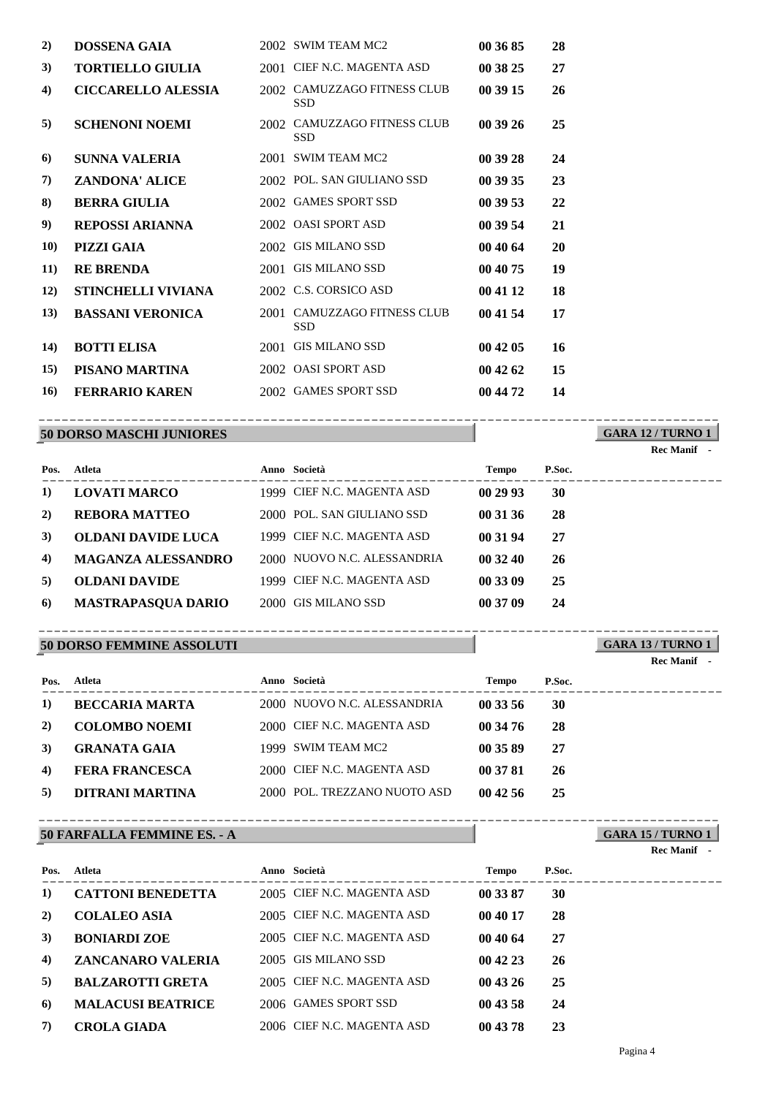|                           |                     | 2002 SWIM TEAM MC2    | 00 36 85                                                                                                                                                                                                                                                                                                                                   | 28 |
|---------------------------|---------------------|-----------------------|--------------------------------------------------------------------------------------------------------------------------------------------------------------------------------------------------------------------------------------------------------------------------------------------------------------------------------------------|----|
| <b>TORTIELLO GIULIA</b>   |                     |                       | 00 38 25                                                                                                                                                                                                                                                                                                                                   | 27 |
| <b>CICCARELLO ALESSIA</b> |                     | <b>SSD</b>            | 00 39 15                                                                                                                                                                                                                                                                                                                                   | 26 |
| <b>SCHENONI NOEMI</b>     |                     | <b>SSD</b>            | 00 39 26                                                                                                                                                                                                                                                                                                                                   | 25 |
| <b>SUNNA VALERIA</b>      |                     | <b>SWIM TEAM MC2</b>  | 00 39 28                                                                                                                                                                                                                                                                                                                                   | 24 |
| <b>ZANDONA' ALICE</b>     |                     |                       | 00 39 35                                                                                                                                                                                                                                                                                                                                   | 23 |
| <b>BERRA GIULIA</b>       |                     |                       | 00 39 53                                                                                                                                                                                                                                                                                                                                   | 22 |
| <b>REPOSSI ARIANNA</b>    |                     |                       | 00 39 54                                                                                                                                                                                                                                                                                                                                   | 21 |
| <b>PIZZI GAIA</b>         |                     |                       | 00 40 64                                                                                                                                                                                                                                                                                                                                   | 20 |
| <b>RE BRENDA</b>          |                     |                       | 00 40 75                                                                                                                                                                                                                                                                                                                                   | 19 |
| <b>STINCHELLI VIVIANA</b> |                     |                       | 00 41 12                                                                                                                                                                                                                                                                                                                                   | 18 |
| <b>BASSANI VERONICA</b>   |                     | <b>SSD</b>            | 00 41 54                                                                                                                                                                                                                                                                                                                                   | 17 |
| <b>BOTTI ELISA</b>        |                     | <b>GIS MILANO SSD</b> | 00 42 05                                                                                                                                                                                                                                                                                                                                   | 16 |
| PISANO MARTINA            |                     |                       | 00 42 62                                                                                                                                                                                                                                                                                                                                   | 15 |
| <b>FERRARIO KAREN</b>     |                     |                       | 00 44 72                                                                                                                                                                                                                                                                                                                                   | 14 |
|                           | <b>DOSSENA GAIA</b> |                       | 2001 CIEF N.C. MAGENTA ASD<br>2002 CAMUZZAGO FITNESS CLUB<br>2002 CAMUZZAGO FITNESS CLUB<br>2001<br>2002 POL. SAN GIULIANO SSD<br>2002 GAMES SPORT SSD<br>2002 OASI SPORT ASD<br>2002 GIS MILANO SSD<br>2001 GIS MILANO SSD<br>2002 C.S. CORSICO ASD<br>2001 CAMUZZAGO FITNESS CLUB<br>2001<br>2002 OASI SPORT ASD<br>2002 GAMES SPORT SSD |    |

#### **50 DORSO MASCHI JUNIORES** ----------------------------------------------------------------------------------------

**GARA 12 / TURNO 1**

**Rec Manif -** 

| Pos. | Atleta                    | Anno Società                | <b>Tempo</b> | P.Soc. |
|------|---------------------------|-----------------------------|--------------|--------|
| 1)   | <b>LOVATI MARCO</b>       | 1999 CIEF N.C. MAGENTA ASD  | 00 29 93     | 30     |
| 2)   | <b>REBORA MATTEO</b>      | 2000 POL. SAN GIULIANO SSD  | 00 31 36     | 28     |
| 3)   | <b>OLDANI DAVIDE LUCA</b> | 1999 CIEF N.C. MAGENTA ASD  | 00 31 94     | 27     |
| 4)   | <b>MAGANZA ALESSANDRO</b> | 2000 NUOVO N.C. ALESSANDRIA | 00 32 40     | 26     |
| 5)   | <b>OLDANI DAVIDE</b>      | 1999 CIEF N.C. MAGENTA ASD  | 00 33 09     | 25     |
| 6)   | <b>MASTRAPASQUA DARIO</b> | 2000 GIS MILANO SSD         | 00 37 09     | 24     |

#### **50 DORSO FEMMINE ASSOLUTI** ----------------------------------------------------------------------------------------

**GARA 13 / TURNO 1 Rec Manif -** 

**GARA 15 / TURNO 1**

**Rec Manif -** 

| Pos.       | Atleta                | Anno Società                 | <b>Tempo</b> | P.Soc. |  |
|------------|-----------------------|------------------------------|--------------|--------|--|
| 1)         | <b>BECCARIA MARTA</b> | 2000 NUOVO N.C. ALESSANDRIA  | 00 33 56     | 30     |  |
| <b>2</b> ) | <b>COLOMBO NOEMI</b>  | 2000 CIEF N.C. MAGENTA ASD   | 00 34 76     | 28     |  |
| 3)         | <b>GRANATA GAIA</b>   | 1999 SWIM TEAM MC2           | 00 35 89     | 27     |  |
| 4)         | <b>FERA FRANCESCA</b> | 2000 CIEF N.C. MAGENTA ASD   | 00 37 81     | 26     |  |
| 5)         | DITRANI MARTINA       | 2000 POL. TREZZANO NUOTO ASD | 004256       | -25    |  |
|            |                       |                              |              |        |  |

#### **50 FARFALLA FEMMINE ES. - A** ----------------------------------------------------------------------------------------

| Pos.     | Atleta                   | Anno Società               | Tempo    | P.Soc. |
|----------|--------------------------|----------------------------|----------|--------|
| 1)       | <b>CATTONI BENEDETTA</b> | 2005 CIEF N.C. MAGENTA ASD | 00 33 87 | 30     |
| <b>2</b> | <b>COLALEO ASIA</b>      | 2005 CIEF N.C. MAGENTA ASD | 00 40 17 | 28     |
| 3)       | <b>BONIARDI ZOE</b>      | 2005 CIEF N.C. MAGENTA ASD | 00 40 64 | 27     |
| 4)       | ZANCANARO VALERIA        | 2005 GIS MILANO SSD        | 004223   | 26     |
| 5)       | <b>BALZAROTTI GRETA</b>  | 2005 CIEF N.C. MAGENTA ASD | 004326   | 25     |
| 6)       | <b>MALACUSI BEATRICE</b> | 2006 GAMES SPORT SSD       | 00 43 58 | 24     |
| 7)       | <b>CROLA GIADA</b>       | 2006 CIEF N.C. MAGENTA ASD | 00 43 78 | 23     |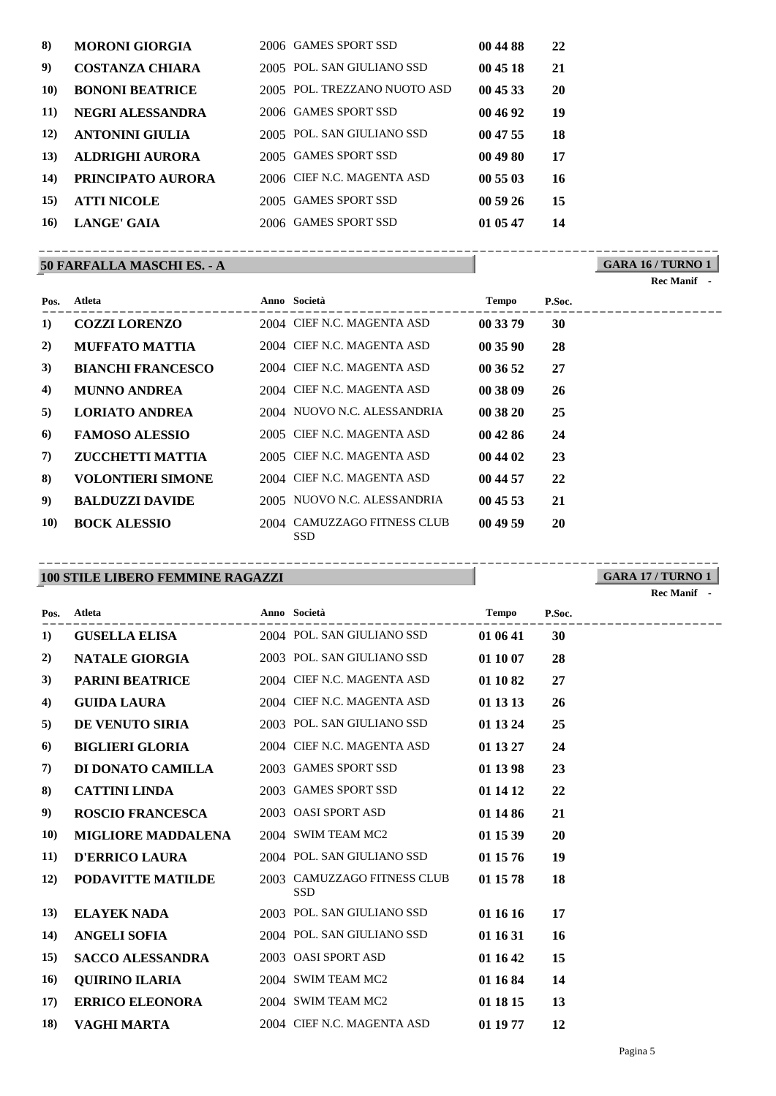| 8)          | <b>MORONI GIORGIA</b>   | 2006 GAMES SPORT SSD         | 00 44 88 | 22 |
|-------------|-------------------------|------------------------------|----------|----|
| 9)          | <b>COSTANZA CHIARA</b>  | 2005 POL. SAN GIULIANO SSD   | 00 45 18 | 21 |
| <b>10)</b>  | <b>BONONI BEATRICE</b>  | 2005 POL. TREZZANO NUOTO ASD | 00 45 33 | 20 |
| <b>11</b> ) | <b>NEGRI ALESSANDRA</b> | 2006 GAMES SPORT SSD         | 00 46 92 | 19 |
| <b>12</b> ) | <b>ANTONINI GIULIA</b>  | 2005 POL. SAN GIULIANO SSD   | 00 47 55 | 18 |
| 13)         | <b>ALDRIGHI AURORA</b>  | 2005 GAMES SPORT SSD         | 00 49 80 | 17 |
| 14)         | PRINCIPATO AURORA       | 2006 CIEF N.C. MAGENTA ASD   | 00 55 03 | 16 |
| <b>15</b> ) | <b>ATTI NICOLE</b>      | 2005 GAMES SPORT SSD         | 005926   | 15 |
| 16)         | LANGE' GAIA             | 2006 GAMES SPORT SSD         | 01 05 47 | 14 |
|             |                         |                              |          |    |

## **50 FARFALLA MASCHI ES. - A**

**GARA 16 / TURNO 1** ----------------------------------------------------------------------------------------

**Rec Manif -** 

| Pos.       | Atleta                   | Anno Società                              | <b>Tempo</b> | P.Soc. |
|------------|--------------------------|-------------------------------------------|--------------|--------|
| 1)         | <b>COZZI LORENZO</b>     | 2004 CIEF N.C. MAGENTA ASD                | 00 33 79     | 30     |
| 2)         | <b>MUFFATO MATTIA</b>    | 2004 CIEF N.C. MAGENTA ASD                | 00 35 90     | 28     |
| 3)         | <b>BIANCHI FRANCESCO</b> | 2004 CIEF N.C. MAGENTA ASD                | 00 36 52     | 27     |
| 4)         | <b>MUNNO ANDREA</b>      | 2004 CIEF N.C. MAGENTA ASD                | 00 38 09     | 26     |
| 5)         | <b>LORIATO ANDREA</b>    | 2004 NUOVO N.C. ALESSANDRIA               | 00 38 20     | 25     |
| 6)         | <b>FAMOSO ALESSIO</b>    | 2005 CIEF N.C. MAGENTA ASD                | 00 42 86     | 24     |
| 7)         | <b>ZUCCHETTI MATTIA</b>  | 2005 CIEF N.C. MAGENTA ASD                | 00 44 02     | 23     |
| 8)         | <b>VOLONTIERI SIMONE</b> | 2004 CIEF N.C. MAGENTA ASD                | 00 44 57     | 22     |
| 9)         | <b>BALDUZZI DAVIDE</b>   | 2005 NUOVO N.C. ALESSANDRIA               | 004553       | 21     |
| <b>10)</b> | <b>BOCK ALESSIO</b>      | 2004 CAMUZZAGO FITNESS CLUB<br><b>SSD</b> | 00 49 59     | 20     |

## **100 STILE LIBERO FEMMINE RAGAZZI**

**GARA 17 / TURNO 1** ----------------------------------------------------------------------------------------

|  | <b>Rec Manif</b> |  |
|--|------------------|--|
|--|------------------|--|

| Pos.        | <b>Atleta</b>             | Anno Società                              | <b>Tempo</b> | P.Soc.<br>_____________ |
|-------------|---------------------------|-------------------------------------------|--------------|-------------------------|
| 1)          | <b>GUSELLA ELISA</b>      | 2004 POL. SAN GIULIANO SSD                | 01 06 41     | 30                      |
| 2)          | NATALE GIORGIA            | 2003 POL. SAN GIULIANO SSD                | 01 10 07     | 28                      |
| 3)          | <b>PARINI BEATRICE</b>    | 2004 CIEF N.C. MAGENTA ASD                | 01 10 82     | 27                      |
| 4)          | <b>GUIDA LAURA</b>        | 2004 CIEF N.C. MAGENTA ASD                | 01 13 13     | 26                      |
| 5)          | <b>DE VENUTO SIRIA</b>    | 2003 POL. SAN GIULIANO SSD                | 01 13 24     | 25                      |
| 6)          | <b>BIGLIERI GLORIA</b>    | 2004 CIEF N.C. MAGENTA ASD                | 01 13 27     | 24                      |
| 7)          | DI DONATO CAMILLA         | 2003 GAMES SPORT SSD                      | 01 13 98     | 23                      |
| 8)          | <b>CATTINI LINDA</b>      | 2003 GAMES SPORT SSD                      | 01 14 12     | 22                      |
| 9)          | <b>ROSCIO FRANCESCA</b>   | 2003 OASI SPORT ASD                       | 01 14 86     | 21                      |
| <b>10)</b>  | <b>MIGLIORE MADDALENA</b> | 2004 SWIM TEAM MC2                        | 01 15 39     | 20                      |
| <b>11</b> ) | <b>D'ERRICO LAURA</b>     | 2004 POL. SAN GIULIANO SSD                | 01 15 76     | 19                      |
| 12)         | PODAVITTE MATILDE         | 2003 CAMUZZAGO FITNESS CLUB<br><b>SSD</b> | 01 15 78     | 18                      |
| 13)         | <b>ELAYEK NADA</b>        | 2003 POL. SAN GIULIANO SSD                | 01 16 16     | 17                      |
| 14)         | <b>ANGELI SOFIA</b>       | 2004 POL. SAN GIULIANO SSD                | 01 16 31     | <b>16</b>               |
| 15)         | <b>SACCO ALESSANDRA</b>   | 2003 OASI SPORT ASD                       | 01 16 42     | 15                      |
| <b>16</b>   | <b>QUIRINO ILARIA</b>     | 2004 SWIM TEAM MC2                        | 01 16 84     | 14                      |
| 17)         | <b>ERRICO ELEONORA</b>    | 2004 SWIM TEAM MC2                        | 01 18 15     | 13                      |
| 18)         | VAGHI MARTA               | 2004 CIEF N.C. MAGENTA ASD                | 01 19 77     | 12                      |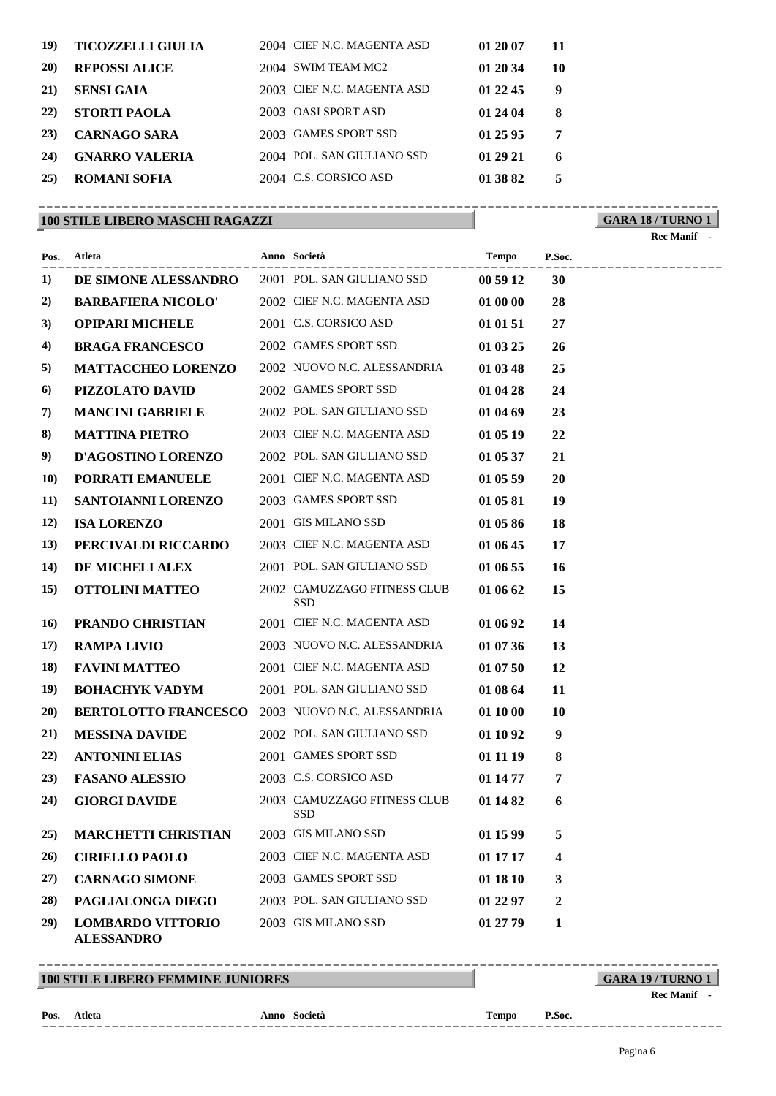| 19)         | <b>TICOZZELLI GIULIA</b> | 2004 CIEF N.C. MAGENTA ASD | 01 20 07 | 11 |
|-------------|--------------------------|----------------------------|----------|----|
| <b>20</b> ) | <b>REPOSSI ALICE</b>     | 2004 SWIM TEAM MC2         | 01 20 34 | 10 |
| 21)         | <b>SENSI GAIA</b>        | 2003 CIEF N.C. MAGENTA ASD | 01 22 45 | 9  |
| <b>22</b> ) | <b>STORTI PAOLA</b>      | 2003 OASI SPORT ASD        | 01 24 04 | 8  |
| 23)         | <b>CARNAGO SARA</b>      | 2003 GAMES SPORT SSD       | 01 25 95 | 7  |
| 24)         | <b>GNARRO VALERIA</b>    | 2004 POL. SAN GIULIANO SSD | 01 29 21 | 6  |
| 25)         | <b>ROMANI SOFIA</b>      | 2004 C.S. CORSICO ASD      | 01 38 82 | 5  |
|             |                          |                            |          |    |

## **100 STILE LIBERO MASCHI RAGAZZI**

**GARA 18 / TURNO 1** ----------------------------------------------------------------------------------------

**Rec Manif -** 

|             | Pos. Atleta                                      | Anno Società                              | <b>Tempo</b> | P.Soc.<br>------------------- |  |
|-------------|--------------------------------------------------|-------------------------------------------|--------------|-------------------------------|--|
| 1)          | DE SIMONE ALESSANDRO 2001 POL. SAN GIULIANO SSD  |                                           | 00 59 12     | 30                            |  |
| 2)          | <b>BARBAFIERA NICOLO'</b>                        | 2002 CIEF N.C. MAGENTA ASD                | 01 00 00     | 28                            |  |
| 3)          | <b>OPIPARI MICHELE</b>                           | 2001 C.S. CORSICO ASD                     | 01 01 51     | 27                            |  |
| 4)          | <b>BRAGA FRANCESCO</b>                           | 2002 GAMES SPORT SSD                      | 01 03 25     | 26                            |  |
| 5)          | <b>MATTACCHEO LORENZO</b>                        | 2002 NUOVO N.C. ALESSANDRIA               | 01 03 48     | 25                            |  |
| 6)          | PIZZOLATO DAVID                                  | 2002 GAMES SPORT SSD                      | 01 04 28     | 24                            |  |
| 7)          | <b>MANCINI GABRIELE</b>                          | 2002 POL. SAN GIULIANO SSD                | 01 04 69     | 23                            |  |
| 8)          | <b>MATTINA PIETRO</b>                            | 2003 CIEF N.C. MAGENTA ASD                | 01 05 19     | 22                            |  |
| 9)          | <b>D'AGOSTINO LORENZO</b>                        | 2002 POL. SAN GIULIANO SSD                | 01 05 37     | 21                            |  |
| <b>10)</b>  | PORRATI EMANUELE                                 | 2001 CIEF N.C. MAGENTA ASD                | 01 05 59     | 20                            |  |
| <b>11</b> ) | SANTOIANNI LORENZO                               | 2003 GAMES SPORT SSD                      | 01 05 81     | 19                            |  |
| <b>12</b> ) | <b>ISA LORENZO</b>                               | 2001 GIS MILANO SSD                       | 01 05 86     | 18                            |  |
| 13)         | PERCIVALDI RICCARDO                              | 2003 CIEF N.C. MAGENTA ASD                | 01 06 45     | 17                            |  |
| 14)         | <b>DE MICHELI ALEX</b>                           | 2001 POL. SAN GIULIANO SSD                | 01 06 55     | <b>16</b>                     |  |
| 15)         | <b>OTTOLINI MATTEO</b>                           | 2002 CAMUZZAGO FITNESS CLUB<br><b>SSD</b> | 01 06 62     | 15                            |  |
| <b>16</b>   | PRANDO CHRISTIAN                                 | 2001 CIEF N.C. MAGENTA ASD                | 01 06 92     | 14                            |  |
| 17)         | <b>RAMPA LIVIO</b>                               | 2003 NUOVO N.C. ALESSANDRIA               | 01 07 36     | 13                            |  |
| <b>18</b> ) | <b>FAVINI MATTEO</b>                             | 2001 CIEF N.C. MAGENTA ASD                | 01 07 50     | <b>12</b>                     |  |
| 19)         | <b>BOHACHYK VADYM</b>                            | 2001 POL. SAN GIULIANO SSD                | 01 08 64     | 11                            |  |
| 20)         | BERTOLOTTO FRANCESCO 2003 NUOVO N.C. ALESSANDRIA |                                           | 01 10 00     | <b>10</b>                     |  |
| 21)         | <b>MESSINA DAVIDE</b>                            | 2002 POL. SAN GIULIANO SSD                | 01 10 92     | 9                             |  |
| 22)         | <b>ANTONINI ELIAS</b>                            | 2001 GAMES SPORT SSD                      | 01 11 19     | 8                             |  |
| 23)         | <b>FASANO ALESSIO</b>                            | 2003 C.S. CORSICO ASD                     | 01 14 77     | $\overline{7}$                |  |
| 24)         | <b>GIORGI DAVIDE</b>                             | 2003 CAMUZZAGO FITNESS CLUB<br><b>SSD</b> | 01 14 82     | 6                             |  |
| 25)         | <b>MARCHETTI CHRISTIAN</b>                       | 2003 GIS MILANO SSD                       | 01 15 99     | 5                             |  |
| 26)         | <b>CIRIELLO PAOLO</b>                            | 2003 CIEF N.C. MAGENTA ASD                | 01 17 17     | 4                             |  |
| 27)         | <b>CARNAGO SIMONE</b>                            | 2003 GAMES SPORT SSD                      | 01 18 10     | 3                             |  |
| 28)         | PAGLIALONGA DIEGO                                | 2003 POL. SAN GIULIANO SSD                | 01 22 97     | $\boldsymbol{2}$              |  |
| 29)         | <b>LOMBARDO VITTORIO</b><br><b>ALESSANDRO</b>    | 2003 GIS MILANO SSD                       | 01 27 79     | 1                             |  |

## **100 STILE LIBERO FEMMINE JUNIORES**

**GARA 19 / TURNO 1** ----------------------------------------------------------------------------------------

**Rec Manif -** 

#### **Pos.**

**Atleta Anno Società Tempo P.Soc.**

----------------------------------------------------------------------------------------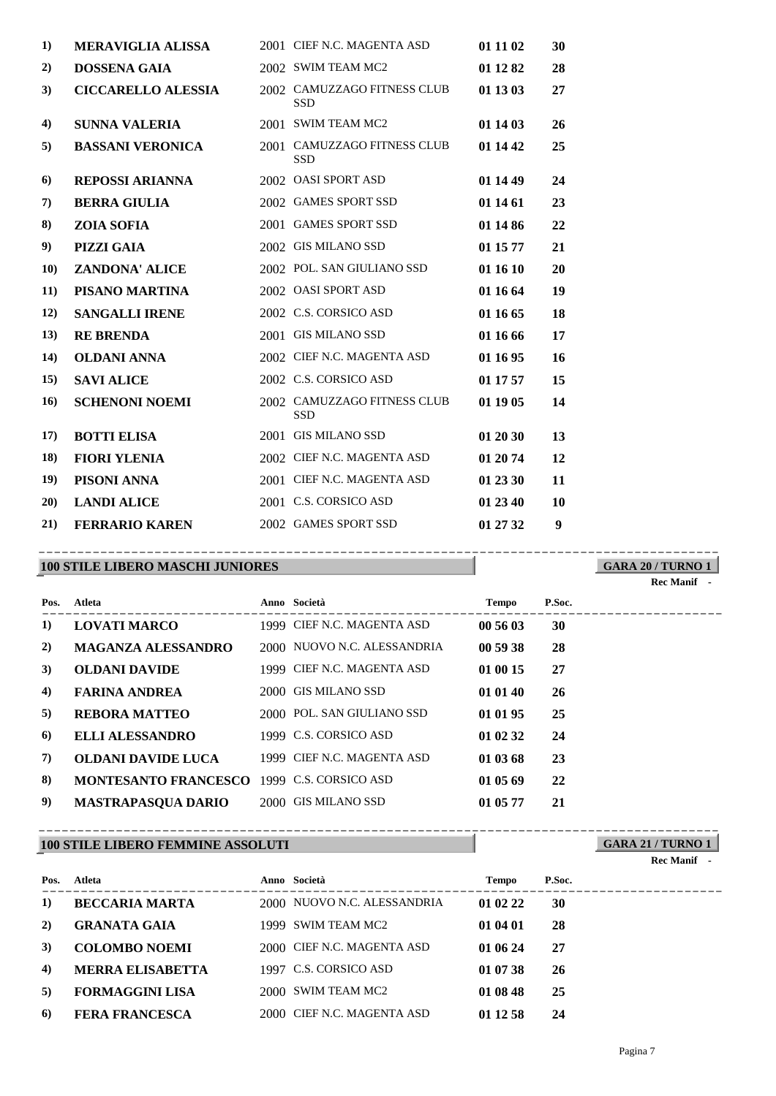| $\bf{1}$  | <b>MERAVIGLIA ALISSA</b>  | 2001 CIEF N.C. MAGENTA ASD                | 01 11 02 | 30 |
|-----------|---------------------------|-------------------------------------------|----------|----|
| 2)        | <b>DOSSENA GAIA</b>       | 2002 SWIM TEAM MC2                        | 01 12 82 | 28 |
| 3)        | <b>CICCARELLO ALESSIA</b> | 2002 CAMUZZAGO FITNESS CLUB<br><b>SSD</b> | 01 13 03 | 27 |
| 4)        | <b>SUNNA VALERIA</b>      | 2001 SWIM TEAM MC2                        | 01 14 03 | 26 |
| 5)        | <b>BASSANI VERONICA</b>   | 2001 CAMUZZAGO FITNESS CLUB<br><b>SSD</b> | 01 14 42 | 25 |
| 6)        | <b>REPOSSI ARIANNA</b>    | 2002 OASI SPORT ASD                       | 01 14 49 | 24 |
| 7)        | <b>BERRA GIULIA</b>       | 2002 GAMES SPORT SSD                      | 01 14 61 | 23 |
| 8)        | <b>ZOIA SOFIA</b>         | 2001 GAMES SPORT SSD                      | 01 14 86 | 22 |
| 9)        | <b>PIZZI GAIA</b>         | 2002 GIS MILANO SSD                       | 01 15 77 | 21 |
| <b>10</b> | <b>ZANDONA' ALICE</b>     | 2002 POL. SAN GIULIANO SSD                | 01 16 10 | 20 |
| 11)       | PISANO MARTINA            | 2002 OASI SPORT ASD                       | 01 16 64 | 19 |
| 12)       | <b>SANGALLI IRENE</b>     | 2002 C.S. CORSICO ASD                     | 01 16 65 | 18 |
| 13)       | <b>RE BRENDA</b>          | 2001 GIS MILANO SSD                       | 01 16 66 | 17 |
| 14)       | <b>OLDANI ANNA</b>        | 2002 CIEF N.C. MAGENTA ASD                | 01 16 95 | 16 |
| 15)       | <b>SAVI ALICE</b>         | 2002 C.S. CORSICO ASD                     | 01 17 57 | 15 |
| 16)       | <b>SCHENONI NOEMI</b>     | 2002 CAMUZZAGO FITNESS CLUB<br><b>SSD</b> | 01 19 05 | 14 |
| 17)       | <b>BOTTI ELISA</b>        | 2001 GIS MILANO SSD                       | 01 20 30 | 13 |
| 18)       | <b>FIORI YLENIA</b>       | 2002 CIEF N.C. MAGENTA ASD                | 01 20 74 | 12 |
| 19)       | PISONI ANNA               | 2001 CIEF N.C. MAGENTA ASD                | 01 23 30 | 11 |
| 20)       | <b>LANDI ALICE</b>        | 2001 C.S. CORSICO ASD                     | 01 23 40 | 10 |
| 21)       | <b>FERRARIO KAREN</b>     | 2002 GAMES SPORT SSD                      | 01 27 32 | 9  |

### **100 STILE LIBERO MASCHI JUNIORES**

**GARA 20 / TURNO 1** ----------------------------------------------------------------------------------------

**GARA 21 / TURNO 1**

| Pos. | Atleta                                     | Anno Società                | <b>Tempo</b> | P.Soc. |
|------|--------------------------------------------|-----------------------------|--------------|--------|
| 1)   | <b>LOVATI MARCO</b>                        | 1999 CIEF N.C. MAGENTA ASD  | 00 56 03     | 30     |
| 2)   | <b>MAGANZA ALESSANDRO</b>                  | 2000 NUOVO N.C. ALESSANDRIA | 00 59 38     | 28     |
| 3)   | <b>OLDANI DAVIDE</b>                       | 1999 CIEF N.C. MAGENTA ASD  | 01 00 15     | 27     |
| 4)   | <b>FARINA ANDREA</b>                       | 2000 GIS MILANO SSD         | 01 01 40     | 26     |
| 5)   | <b>REBORA MATTEO</b>                       | 2000 POL. SAN GIULIANO SSD  | 01 01 95     | 25     |
| 6    | <b>ELLI ALESSANDRO</b>                     | 1999 C.S. CORSICO ASD       | 01 02 32     | 24     |
| 7)   | <b>OLDANI DAVIDE LUCA</b>                  | 1999 CIEF N.C. MAGENTA ASD  | 01 03 68     | 23     |
| 8)   | MONTESANTO FRANCESCO 1999 C.S. CORSICO ASD |                             | 01 05 69     | 22     |
| 9)   | <b>MASTRAPASQUA DARIO</b>                  | 2000 GIS MILANO SSD         | 01 05 77     | 21     |

#### **100 STILE LIBERO FEMMINE ASSOLUTI** ----------------------------------------------------------------------------------------

|      |                         |                             |          |        | <b>Rec Manif</b> - |
|------|-------------------------|-----------------------------|----------|--------|--------------------|
| Pos. | Atleta                  | Anno Società                | Tempo    | P.Soc. |                    |
| 1)   | <b>BECCARIA MARTA</b>   | 2000 NUOVO N.C. ALESSANDRIA | 01 02 22 | 30     |                    |
| 2)   | <b>GRANATA GAIA</b>     | 1999 SWIM TEAM MC2          | 01 04 01 | 28     |                    |
| 3)   | <b>COLOMBO NOEMI</b>    | 2000 CIEF N.C. MAGENTA ASD  | 01 06 24 | 27     |                    |
| 4)   | <b>MERRA ELISABETTA</b> | 1997 C.S. CORSICO ASD       | 01 07 38 | 26     |                    |
| 5)   | <b>FORMAGGINI LISA</b>  | 2000 SWIM TEAM MC2          | 01 08 48 | 25     |                    |
| 6)   | <b>FERA FRANCESCA</b>   | 2000 CIEF N.C. MAGENTA ASD  | 01 12 58 | 24     |                    |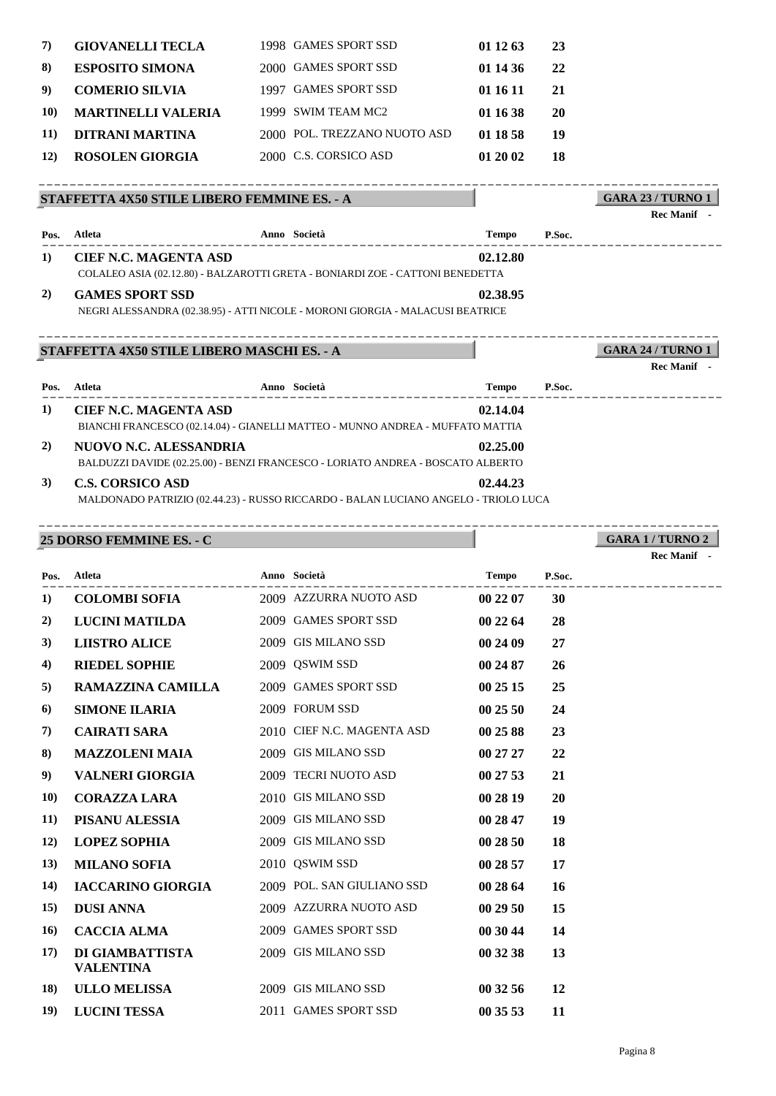| 7)          | <b>GIOVANELLI TECLA</b>   | 1998 GAMES SPORT SSD         | 01 12 63 | 23 |
|-------------|---------------------------|------------------------------|----------|----|
| 8)          | <b>ESPOSITO SIMONA</b>    | 2000 GAMES SPORT SSD         | 01 14 36 | 22 |
| 9)          | <b>COMERIO SILVIA</b>     | 1997 GAMES SPORT SSD         | 01 16 11 | 21 |
| <b>10)</b>  | <b>MARTINELLI VALERIA</b> | 1999 SWIM TEAM MC2           | 01 16 38 | 20 |
| 11)         | DITRANI MARTINA           | 2000 POL. TREZZANO NUOTO ASD | 01 18 58 | 19 |
| <b>12</b> ) | <b>ROSOLEN GIORGIA</b>    | 2000 C.S. CORSICO ASD        | 012002   | 18 |

#### **STAFFETTA 4X50 STILE LIBERO FEMMINE ES. - A** ----------------------------------------------------------------------------------------

| lec Manif                |  |
|--------------------------|--|
| <b>GARA 23 / TURNO 1</b> |  |

|          |                               |                                                                                     |              |        | кес іманіі                              |
|----------|-------------------------------|-------------------------------------------------------------------------------------|--------------|--------|-----------------------------------------|
| Pos.     | Atleta                        | Anno Società                                                                        | <b>Tempo</b> | P.Soc. |                                         |
| 1)       | <b>CIEF N.C. MAGENTA ASD</b>  | COLALEO ASIA (02.12.80) - BALZAROTTI GRETA - BONIARDI ZOE - CATTONI BENEDETTA       | 02.12.80     |        |                                         |
| 2)       | <b>GAMES SPORT SSD</b>        | NEGRI ALESSANDRA (02.38.95) - ATTI NICOLE - MORONI GIORGIA - MALACUSI BEATRICE      | 02.38.95     |        |                                         |
|          |                               | STAFFETTA 4X50 STILE LIBERO MASCHI ES. - A                                          |              |        | <b>GARA 24 / TURNO 1</b><br>Rec Manif - |
| Pos.     | Atleta                        | Anno Società                                                                        | <b>Tempo</b> | P.Soc. |                                         |
| $\bf{1}$ | <b>CIEF N.C. MAGENTA ASD</b>  | BIANCHI FRANCESCO (02.14.04) - GIANELLI MATTEO - MUNNO ANDREA - MUFFATO MATTIA      | 02.14.04     |        |                                         |
| 2)       | <b>NUOVO N.C. ALESSANDRIA</b> | BALDUZZI DAVIDE (02.25.00) - BENZI FRANCESCO - LORIATO ANDREA - BOSCATO ALBERTO     | 02.25.00     |        |                                         |
| 3)       | <b>C.S. CORSICO ASD</b>       | MALDONADO PATRIZIO (02.44.23) - RUSSO RICCARDO - BALAN LUCIANO ANGELO - TRIOLO LUCA | 02.44.23     |        |                                         |

----------------------------------------------------------------------------------------

#### **25 DORSO FEMMINE ES. - C**

|                   | 25 DORSO FEMMINE ES. - C            |                            |              |           | <b>GARA 1/TURNO 2</b> |
|-------------------|-------------------------------------|----------------------------|--------------|-----------|-----------------------|
|                   |                                     |                            |              |           | Rec Manif -           |
| Pos.              | Atleta                              | Anno Società               | Tempo        | P.Soc.    |                       |
| 1)                | <b>COLOMBI SOFIA</b>                | 2009 AZZURRA NUOTO ASD     | 00 22 07     | <b>30</b> |                       |
| 2)                | <b>LUCINI MATILDA</b>               | 2009 GAMES SPORT SSD       | 002264       | 28        |                       |
| 3)                | <b>LIISTRO ALICE</b>                | 2009 GIS MILANO SSD        | 00 24 09     | 27        |                       |
| $\left( 4\right)$ | <b>RIEDEL SOPHIE</b>                | 2009 QSWIM SSD             | 00 24 87     | <b>26</b> |                       |
| 5)                | RAMAZZINA CAMILLA                   | 2009 GAMES SPORT SSD       | 00 25 15     | 25        |                       |
| 6)                | <b>SIMONE ILARIA</b>                | 2009 FORUM SSD             | 002550       | 24        |                       |
| 7)                | <b>CAIRATI SARA</b>                 | 2010 CIEF N.C. MAGENTA ASD | 00 25 88     | 23        |                       |
| 8)                | <b>MAZZOLENI MAIA</b>               | 2009 GIS MILANO SSD        | 00 27 27     | 22        |                       |
| 9)                | VALNERI GIORGIA                     | 2009 TECRI NUOTO ASD       | $00\,27\,53$ | 21        |                       |
| <b>10)</b>        | <b>CORAZZA LARA</b>                 | 2010 GIS MILANO SSD        | 00 28 19     | 20        |                       |
| 11)               | PISANU ALESSIA                      | 2009 GIS MILANO SSD        | 00 28 47     | 19        |                       |
| 12)               | <b>LOPEZ SOPHIA</b>                 | 2009 GIS MILANO SSD        | 00 28 50     | 18        |                       |
| 13)               | <b>MILANO SOFIA</b>                 | 2010 QSWIM SSD             | 00 28 57     | 17        |                       |
| 14)               | <b>IACCARINO GIORGIA</b>            | 2009 POL. SAN GIULIANO SSD | 00 28 64     | <b>16</b> |                       |
| 15)               | <b>DUSI ANNA</b>                    | 2009 AZZURRA NUOTO ASD     | 00 29 50     | 15        |                       |
| 16)               | <b>CACCIA ALMA</b>                  | 2009 GAMES SPORT SSD       | 00 30 44     | 14        |                       |
| 17)               | DI GIAMBATTISTA<br><b>VALENTINA</b> | 2009 GIS MILANO SSD        | 00 32 38     | 13        |                       |
| 18)               | <b>ULLO MELISSA</b>                 | 2009 GIS MILANO SSD        | 00 32 56     | 12        |                       |
| 19)               | <b>LUCINI TESSA</b>                 | 2011 GAMES SPORT SSD       | 00 35 53     | 11        |                       |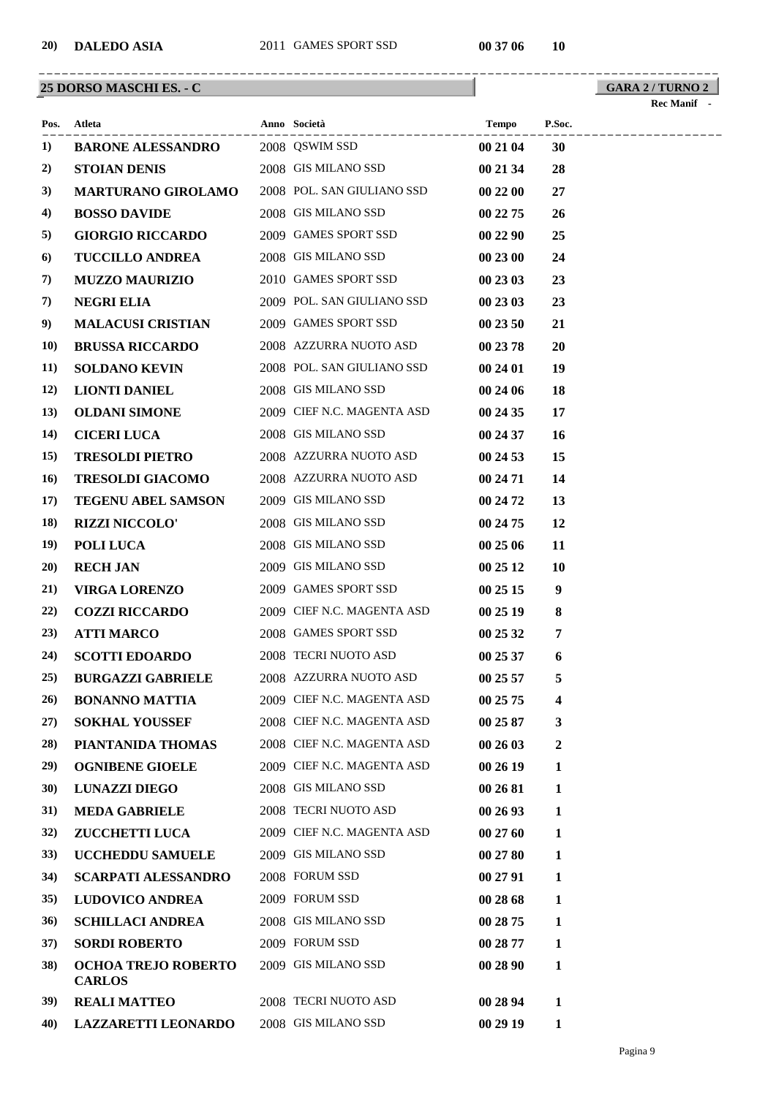## **25 DORSO MASCHI ES. - C**

|             | Pos. Atleta                                              | Anno Società               | <b>Tempo</b> | P.Soc.           |
|-------------|----------------------------------------------------------|----------------------------|--------------|------------------|
| 1)          | <b>BARONE ALESSANDRO</b>                                 | 2008 QSWIM SSD             | 00 21 04     | 30               |
| 2)          | STOIAN DENIS                                             | 2008 GIS MILANO SSD        | 00 21 34     | 28               |
| 3)          | <b>MARTURANO GIROLAMO</b>                                | 2008 POL. SAN GIULIANO SSD | 00 22 00     | 27               |
| 4)          | <b>BOSSO DAVIDE</b>                                      | 2008 GIS MILANO SSD        | 00 22 75     | 26               |
| 5)          | <b>GIORGIO RICCARDO</b>                                  | 2009 GAMES SPORT SSD       | 00 22 90     | 25               |
| 6)          | <b>TUCCILLO ANDREA</b>                                   | 2008 GIS MILANO SSD        | 00 23 00     | 24               |
| 7)          | <b>MUZZO MAURIZIO</b>                                    | 2010 GAMES SPORT SSD       | 00 23 03     | 23               |
| 7)          | <b>NEGRI ELIA</b>                                        | 2009 POL. SAN GIULIANO SSD | 00 23 03     | 23               |
| 9)          | <b>MALACUSI CRISTIAN</b>                                 | 2009 GAMES SPORT SSD       | 00 23 50     | 21               |
| <b>10)</b>  | <b>BRUSSA RICCARDO</b>                                   | 2008 AZZURRA NUOTO ASD     | 00 23 78     | 20               |
| 11)         | <b>SOLDANO KEVIN</b>                                     | 2008 POL. SAN GIULIANO SSD | 00 24 01     | 19               |
| 12)         | <b>LIONTI DANIEL</b>                                     | 2008 GIS MILANO SSD        | 00 24 06     | 18               |
| <b>13</b> ) | <b>OLDANI SIMONE</b>                                     | 2009 CIEF N.C. MAGENTA ASD | 00 24 35     | 17               |
| 14)         | <b>CICERI LUCA</b>                                       | 2008 GIS MILANO SSD        | 00 24 37     | <b>16</b>        |
| 15)         | <b>TRESOLDI PIETRO</b>                                   | 2008 AZZURRA NUOTO ASD     | 00 24 53     | 15               |
| 16)         | <b>TRESOLDI GIACOMO</b>                                  | 2008 AZZURRA NUOTO ASD     | 00 24 71     | 14               |
| 17)         | <b>TEGENU ABEL SAMSON</b>                                | 2009 GIS MILANO SSD        | 00 24 72     | 13               |
| 18)         | <b>RIZZI NICCOLO'</b>                                    | 2008 GIS MILANO SSD        | 00 24 75     | 12               |
| 19)         | <b>POLI LUCA</b>                                         | 2008 GIS MILANO SSD        | 00 25 06     | 11               |
| 20)         | <b>RECH JAN</b>                                          | 2009 GIS MILANO SSD        | 00 25 12     | <b>10</b>        |
| 21)         | <b>VIRGA LORENZO</b>                                     | 2009 GAMES SPORT SSD       | 00 25 15     | $\boldsymbol{9}$ |
| 22)         | <b>COZZI RICCARDO</b>                                    | 2009 CIEF N.C. MAGENTA ASD | 00 25 19     | 8                |
| 23)         | <b>ATTI MARCO</b>                                        | 2008 GAMES SPORT SSD       | 00 25 32     | 7                |
| 24)         | <b>SCOTTI EDOARDO</b>                                    | 2008 TECRI NUOTO ASD       | 00 25 37     | 6                |
| 25)         | <b>BURGAZZI GABRIELE</b>                                 | 2008 AZZURRA NUOTO ASD     | 002557       | 5                |
|             | 26) BONANNO MATTIA 2009 CIEF N.C. MAGENTA ASD 00 25 75 4 |                            |              |                  |
| 27)         | <b>SOKHAL YOUSSEF</b>                                    | 2008 CIEF N.C. MAGENTA ASD | 00 25 87     | 3                |
| 28)         | PIANTANIDA THOMAS                                        | 2008 CIEF N.C. MAGENTA ASD | 00 26 03     | 2                |
| 29)         | <b>OGNIBENE GIOELE</b>                                   | 2009 CIEF N.C. MAGENTA ASD | 00 26 19     | 1                |
| <b>30</b> ) | <b>LUNAZZI DIEGO</b>                                     | 2008 GIS MILANO SSD        | 00 26 81     | 1                |
| 31)         | <b>MEDA GABRIELE</b>                                     | 2008 TECRI NUOTO ASD       | 00 26 93     | 1                |
| 32)         | <b>ZUCCHETTI LUCA</b>                                    | 2009 CIEF N.C. MAGENTA ASD | 00 27 60     | 1                |
| <b>33</b> ) | <b>UCCHEDDU SAMUELE</b>                                  | 2009 GIS MILANO SSD        | 00 27 80     | 1                |
| 34)         | <b>SCARPATI ALESSANDRO</b>                               | 2008 FORUM SSD             | 00 27 91     | 1                |
| <b>35</b> ) | <b>LUDOVICO ANDREA</b>                                   | 2009 FORUM SSD             | 00 28 68     | 1                |
| 36)         | <b>SCHILLACI ANDREA</b>                                  | 2008 GIS MILANO SSD        | 00 28 75     | 1                |
| 37)         | <b>SORDI ROBERTO</b>                                     | 2009 FORUM SSD             | 00 28 77     | 1                |
| <b>38</b> ) | <b>OCHOA TREJO ROBERTO</b><br><b>CARLOS</b>              | 2009 GIS MILANO SSD        | 00 28 90     | 1                |
| 39)         | <b>REALIMATTEO</b>                                       | 2008 TECRI NUOTO ASD       | 00 28 94     | 1                |
| 40)         | <b>LAZZARETTI LEONARDO</b>                               | 2008 GIS MILANO SSD        | 00 29 19     | 1                |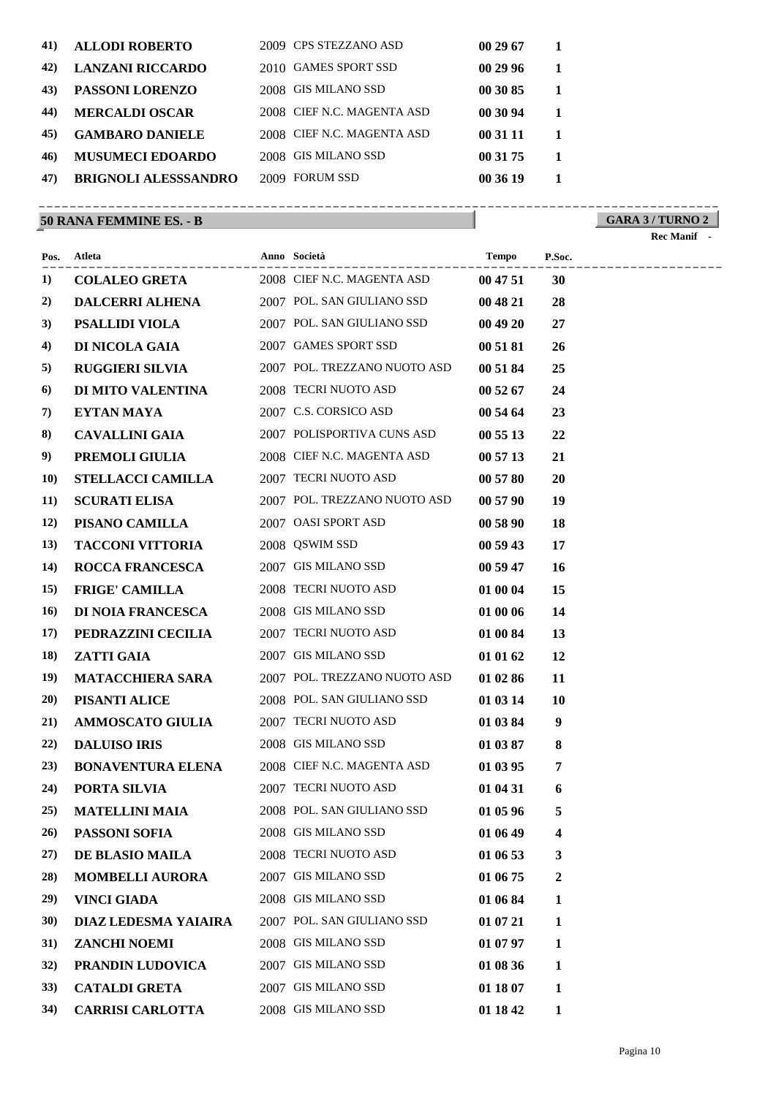| 41) | <b>ALLODI ROBERTO</b>       |       | 2009 CPS STEZZANO ASD      | 00 29 67 | 1            |
|-----|-----------------------------|-------|----------------------------|----------|--------------|
| 42) | <b>LANZANI RICCARDO</b>     |       | 2010 GAMES SPORT SSD       | 00 29 96 | 1            |
| 43) | <b>PASSONI LORENZO</b>      | 2008  | <b>GIS MILANO SSD</b>      | 00 30 85 | $\mathbf{1}$ |
| 44) | <b>MERCALDI OSCAR</b>       |       | 2008 CIEF N.C. MAGENTA ASD | 00 30 94 | 1            |
| 45) | <b>GAMBARO DANIELE</b>      |       | 2008 CIEF N.C. MAGENTA ASD | 00 31 11 | 1            |
| 46) | <b>MUSUMECI EDOARDO</b>     | 2008  | <b>GIS MILANO SSD</b>      | 00 31 75 | $\mathbf{1}$ |
| 47) | <b>BRIGNOLI ALESSSANDRO</b> | 2009. | <b>FORUM SSD</b>           | 00 36 19 | 1            |
|     |                             |       |                            |          |              |

## **50 RANA FEMMINE ES. - B**

#### **GARA 3 / TURNO 2** ----------------------------------------------------------------------------------------

|             | Pos. Atleta                                       | Anno Società                                        | Tempo    | P.Soc.    |  |
|-------------|---------------------------------------------------|-----------------------------------------------------|----------|-----------|--|
| 1)          |                                                   | <b>COLALEO GRETA</b> 2008 CIEF N.C. MAGENTA ASD     | 00 47 51 | 30        |  |
| 2)          | <b>DALCERRI ALHENA</b> 2007 POL. SAN GIULIANO SSD |                                                     | 00 48 21 | 28        |  |
| 3)          | PSALLIDI VIOLA                                    | 2007 POL. SAN GIULIANO SSD                          | 00 49 20 | 27        |  |
| 4)          | <b>DI NICOLA GAIA</b> 2007 GAMES SPORT SSD        |                                                     | 00 51 81 | 26        |  |
| 5)          |                                                   | <b>RUGGIERI SILVIA</b> 2007 POL. TREZZANO NUOTO ASD | 00 51 84 | 25        |  |
| 6           | DI MITO VALENTINA                                 | 2008 TECRI NUOTO ASD                                | 00 52 67 | 24        |  |
| 7)          | EYTAN MAYA                                        | 2007 C.S. CORSICO ASD                               | 00 54 64 | 23        |  |
| 8)          | <b>CAVALLINI GAIA</b>                             | 2007 POLISPORTIVA CUNS ASD                          | 005513   | 22        |  |
| 9)          | PREMOLI GIULIA                                    | 2008 CIEF N.C. MAGENTA ASD                          | 00 57 13 | 21        |  |
| <b>10)</b>  | <b>STELLACCI CAMILLA</b>                          | 2007 TECRI NUOTO ASD                                | 00 57 80 | 20        |  |
| <b>11</b> ) | <b>SCURATI ELISA</b>                              | 2007 POL. TREZZANO NUOTO ASD                        | 00 57 90 | 19        |  |
| <b>12</b> ) | PISANO CAMILLA                                    | 2007 OASI SPORT ASD                                 | 00 58 90 | 18        |  |
| 13)         | <b>TACCONI VITTORIA</b>                           | 2008 QSWIM SSD                                      | 00 59 43 | 17        |  |
| 14)         | <b>ROCCA FRANCESCA</b>                            | 2007 GIS MILANO SSD                                 | 00 59 47 | <b>16</b> |  |
| 15)         | <b>FRIGE' CAMILLA</b>                             | 2008 TECRI NUOTO ASD                                | 01 00 04 | 15        |  |
| 16)         | <b>DI NOIA FRANCESCA</b>                          | 2008 GIS MILANO SSD                                 | 01 00 06 | 14        |  |
| 17)         | PEDRAZZINI CECILIA                                | 2007 TECRI NUOTO ASD                                | 01 00 84 | 13        |  |
| 18)         | <b>ZATTI GAIA</b>                                 | 2007 GIS MILANO SSD                                 | 01 01 62 | 12        |  |
| 19)         | <b>MATACCHIERA SARA</b>                           | 2007 POL. TREZZANO NUOTO ASD                        | 01 02 86 | 11        |  |
| 20)         | PISANTI ALICE                                     | 2008 POL. SAN GIULIANO SSD                          | 01 03 14 | 10        |  |
| 21)         | <b>AMMOSCATO GIULIA</b>                           | 2007 TECRI NUOTO ASD                                | 01 03 84 | 9         |  |
| 22)         | <b>DALUISO IRIS</b>                               | 2008 GIS MILANO SSD                                 | 01 03 87 | 8         |  |
| 23)         | <b>BONAVENTURA ELENA</b>                          | 2008 CIEF N.C. MAGENTA ASD                          | 01 03 95 | 7         |  |
| 24)         | PORTA SILVIA                                      | 2007 TECRI NUOTO ASD                                | 01 04 31 | 6         |  |
| 25)         | <b>MATELLINI MAIA</b>                             | 2008 POL. SAN GIULIANO SSD                          | 01 05 96 | 5         |  |
|             | 26) PASSONI SOFIA                                 | 2008 GIS MILANO SSD                                 | 01 06 49 |           |  |
| 27)         | DE BLASIO MAILA                                   | 2008 TECRI NUOTO ASD                                | 01 06 53 | 3         |  |
| 28)         | <b>MOMBELLI AURORA</b>                            | 2007 GIS MILANO SSD                                 | 01 06 75 | 2         |  |
| 29)         | <b>VINCI GIADA</b>                                | 2008 GIS MILANO SSD                                 | 01 06 84 | 1         |  |
| <b>30</b> ) | DIAZ LEDESMA YAIAIRA                              | 2007 POL. SAN GIULIANO SSD                          | 01 07 21 | 1         |  |
| 31)         | <b>ZANCHI NOEMI</b>                               | 2008 GIS MILANO SSD                                 | 01 07 97 | 1         |  |
| 32)         | PRANDIN LUDOVICA                                  | 2007 GIS MILANO SSD                                 | 01 08 36 | 1         |  |
| <b>33</b> ) | <b>CATALDI GRETA</b>                              | 2007 GIS MILANO SSD                                 | 01 18 07 | 1         |  |
| 34)         | <b>CARRISI CARLOTTA</b>                           | 2008 GIS MILANO SSD                                 | 01 18 42 | 1         |  |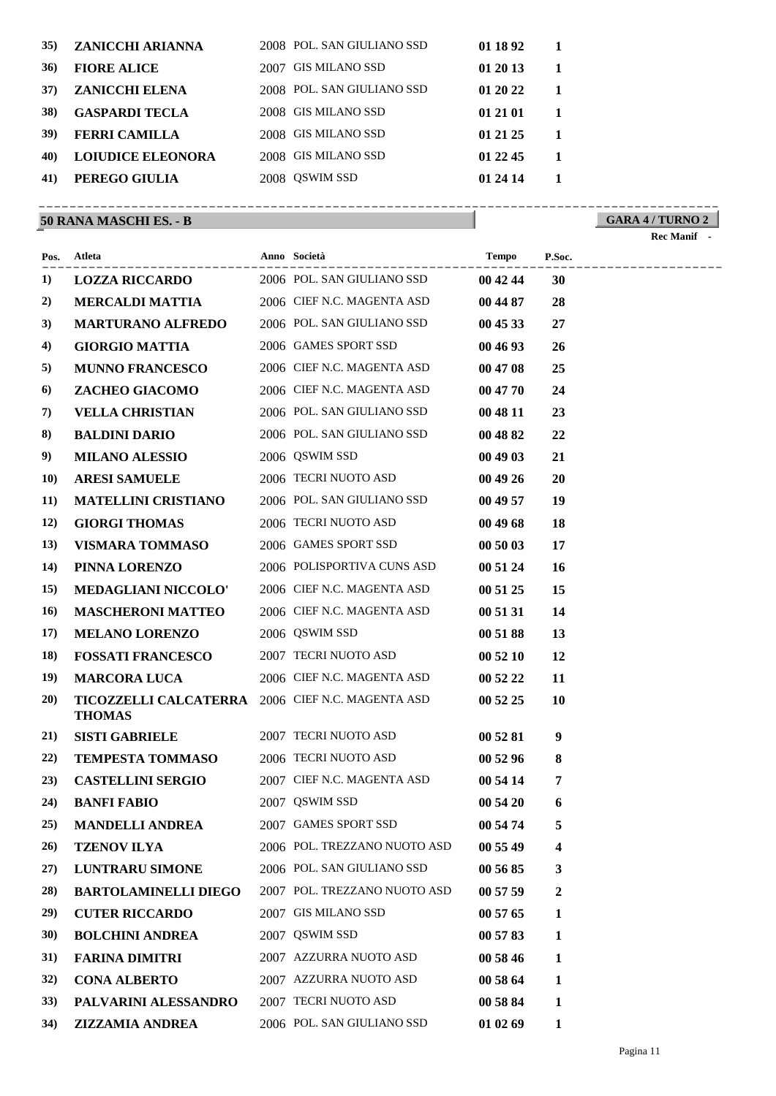| 35) | ZANICCHI ARIANNA         |      | 2008 POL. SAN GIULIANO SSD | 01 18 92 |  |
|-----|--------------------------|------|----------------------------|----------|--|
| 36) | <b>FIORE ALICE</b>       | 2007 | <b>GIS MILANO SSD</b>      | 01 20 13 |  |
| 37) | <b>ZANICCHI ELENA</b>    |      | 2008 POL. SAN GIULIANO SSD | 01 20 22 |  |
| 38) | <b>GASPARDI TECLA</b>    | 2008 | <b>GIS MILANO SSD</b>      | 01 21 01 |  |
| 39) | <b>FERRI CAMILLA</b>     | 2008 | <b>GIS MILANO SSD</b>      | 01 21 25 |  |
| 40) | <b>LOIUDICE ELEONORA</b> |      | 2008 GIS MILANO SSD        | 01 22 45 |  |
| 41) | PEREGO GIULIA            | 2008 | <b>OSWIM SSD</b>           | 01 24 14 |  |
|     |                          |      |                            |          |  |

## **50 RANA MASCHI ES. - B**

#### **GARA 4 / TURNO 2** ----------------------------------------------------------------------------------------

|             | Pos. Atleta                                                       | Anno Società                 | Tempo    | P.Soc.         | ------------------ |
|-------------|-------------------------------------------------------------------|------------------------------|----------|----------------|--------------------|
| 1)          | LOZZA RICCARDO 2006 POL. SAN GIULIANO SSD                         |                              | 00 42 44 | 30             |                    |
| 2)          | <b>MERCALDI MATTIA</b>                                            | 2006 CIEF N.C. MAGENTA ASD   | 00 44 87 | 28             |                    |
| 3)          | <b>MARTURANO ALFREDO</b>                                          | 2006 POL. SAN GIULIANO SSD   | 004533   | 27             |                    |
| 4)          | <b>GIORGIO MATTIA</b>                                             | 2006 GAMES SPORT SSD         | 004693   | 26             |                    |
| 5)          | <b>MUNNO FRANCESCO</b>                                            | 2006 CIEF N.C. MAGENTA ASD   | 00 47 08 | 25             |                    |
| 6)          | ZACHEO GIACOMO                                                    | 2006 CIEF N.C. MAGENTA ASD   | 00 47 70 | 24             |                    |
| 7)          | <b>VELLA CHRISTIAN</b>                                            | 2006 POL. SAN GIULIANO SSD   | 00 48 11 | 23             |                    |
| 8)          | <b>BALDINI DARIO</b>                                              | 2006 POL. SAN GIULIANO SSD   | 00 48 82 | 22             |                    |
| 9)          | <b>MILANO ALESSIO</b>                                             | 2006 QSWIM SSD               | 004903   | 21             |                    |
| <b>10)</b>  | <b>ARESI SAMUELE</b>                                              | 2006 TECRI NUOTO ASD         | 00 49 26 | <b>20</b>      |                    |
| <b>11</b> ) | <b>MATELLINI CRISTIANO</b>                                        | 2006 POL. SAN GIULIANO SSD   | 00 49 57 | 19             |                    |
| <b>12</b> ) | <b>GIORGI THOMAS</b>                                              | 2006 TECRI NUOTO ASD         | 004968   | 18             |                    |
| <b>13</b> ) | VISMARA TOMMASO                                                   | 2006 GAMES SPORT SSD         | 00 50 03 | 17             |                    |
| 14)         | PINNA LORENZO                                                     | 2006 POLISPORTIVA CUNS ASD   | 00 51 24 | <b>16</b>      |                    |
| 15)         | <b>MEDAGLIANI NICCOLO'</b>                                        | 2006 CIEF N.C. MAGENTA ASD   | 00 51 25 | 15             |                    |
| 16)         | <b>MASCHERONI MATTEO</b>                                          | 2006 CIEF N.C. MAGENTA ASD   | 00 51 31 | 14             |                    |
| 17)         | <b>MELANO LORENZO</b>                                             | 2006 QSWIM SSD               | 00 51 88 | 13             |                    |
| 18)         | <b>FOSSATI FRANCESCO</b>                                          | 2007 TECRI NUOTO ASD         | 00 52 10 | 12             |                    |
| 19)         | <b>MARCORA LUCA</b>                                               | 2006 CIEF N.C. MAGENTA ASD   | 00 52 22 | 11             |                    |
| 20)         | TICOZZELLI CALCATERRA 2006 CIEF N.C. MAGENTA ASD<br><b>THOMAS</b> |                              | 00 52 25 | <b>10</b>      |                    |
| 21)         | <b>SISTI GABRIELE</b>                                             | 2007 TECRI NUOTO ASD         | 00 52 81 | 9              |                    |
| 22)         | <b>TEMPESTA TOMMASO</b>                                           | 2006 TECRI NUOTO ASD         | 00 52 96 | 8              |                    |
| 23)         | <b>CASTELLINI SERGIO</b>                                          | 2007 CIEF N.C. MAGENTA ASD   | 00 54 14 | $\overline{7}$ |                    |
| 24)         | <b>BANFI FABIO</b>                                                | 2007 QSWIM SSD               | 00 54 20 | 6              |                    |
| 25)         | <b>MANDELLI ANDREA</b>                                            | 2007 GAMES SPORT SSD         | 00 54 74 | 5              |                    |
| 26)         | <b>TZENOV ILYA</b>                                                | 2006 POL. TREZZANO NUOTO ASD | 00 55 49 | 4              |                    |
| 27)         | <b>LUNTRARU SIMONE</b>                                            | 2006 POL. SAN GIULIANO SSD   | 00 56 85 | 3              |                    |
| 28)         | <b>BARTOLAMINELLI DIEGO</b>                                       | 2007 POL. TREZZANO NUOTO ASD | 00 57 59 | 2              |                    |
| 29)         | <b>CUTER RICCARDO</b>                                             | 2007 GIS MILANO SSD          | 00 57 65 | 1              |                    |
| <b>30</b> ) | <b>BOLCHINI ANDREA</b>                                            | 2007 QSWIM SSD               | 00 57 83 | 1              |                    |
| <b>31</b> ) | <b>FARINA DIMITRI</b>                                             | 2007 AZZURRA NUOTO ASD       | 00 58 46 | 1              |                    |
| 32)         | <b>CONA ALBERTO</b>                                               | 2007 AZZURRA NUOTO ASD       | 00 58 64 | 1              |                    |
| 33)         | PALVARINI ALESSANDRO                                              | 2007 TECRI NUOTO ASD         | 00 58 84 | 1              |                    |
| 34)         | <b>ZIZZAMIA ANDREA</b>                                            | 2006 POL. SAN GIULIANO SSD   | 01 02 69 | 1              |                    |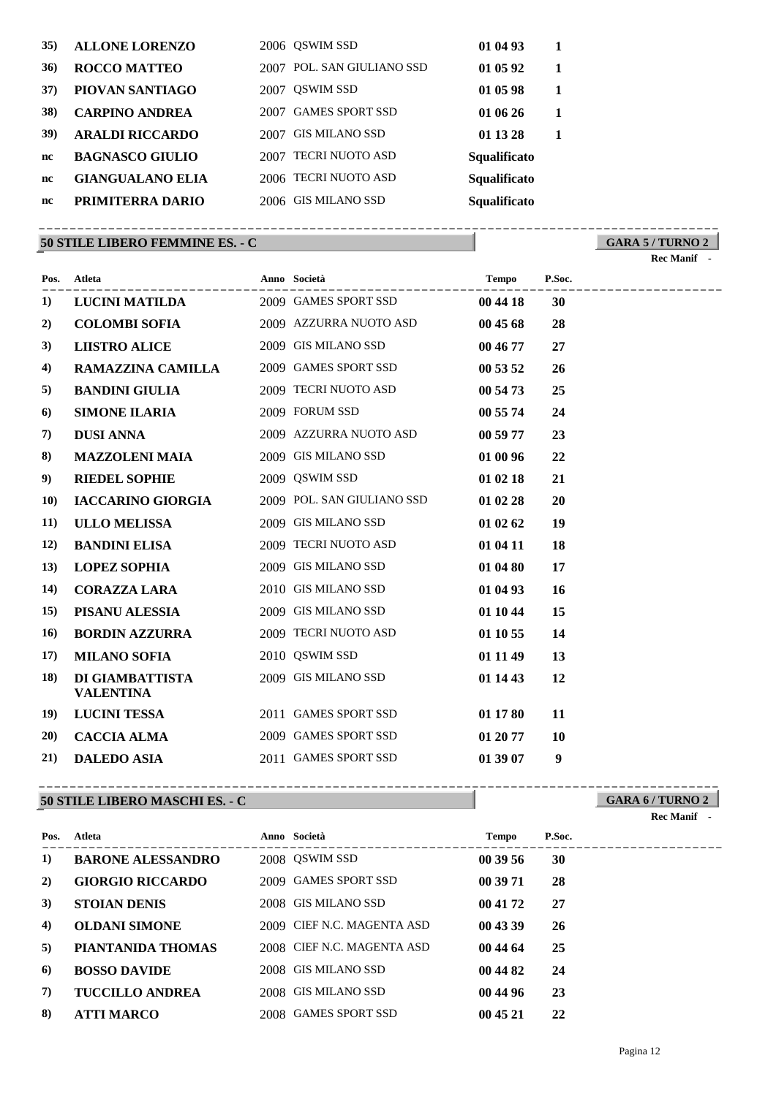| 35) | <b>ALLONE LORENZO</b>   | 2006 OSWIM SSD                 | 01 04 93     |  |
|-----|-------------------------|--------------------------------|--------------|--|
| 36) | <b>ROCCO MATTEO</b>     | POL. SAN GIULIANO SSD<br>2007  | 01 05 92     |  |
| 37) | PIOVAN SANTIAGO         | <b>OSWIM SSD</b><br>2007       | 01 05 98     |  |
| 38) | <b>CARPINO ANDREA</b>   | <b>GAMES SPORT SSD</b><br>2007 | 01 06 26     |  |
| 39) | <b>ARALDI RICCARDO</b>  | <b>GIS MILANO SSD</b><br>2007  | 01 13 28     |  |
| nc  | <b>BAGNASCO GIULIO</b>  | <b>TECRI NUOTO ASD</b><br>2007 | Squalificato |  |
| nc  | <b>GIANGUALANO ELIA</b> | 2006 TECRI NUOTO ASD           | Squalificato |  |
| nc  | PRIMITERRA DARIO        | 2006 GIS MILANO SSD            | Squalificato |  |
|     |                         |                                |              |  |

#### **50 STILE LIBERO FEMMINE ES. - C**

**GARA 5 / TURNO 2** ----------------------------------------------------------------------------------------

|            |                                     |                            |              |        | Rec Manif - |
|------------|-------------------------------------|----------------------------|--------------|--------|-------------|
| Pos.       | Atleta                              | Anno Società               | <b>Tempo</b> | P.Soc. |             |
| 1)         | <b>LUCINI MATILDA</b>               | 2009 GAMES SPORT SSD       | 00 44 18     | 30     |             |
| 2)         | <b>COLOMBI SOFIA</b>                | 2009 AZZURRA NUOTO ASD     | 00 45 68     | 28     |             |
| 3)         | <b>LIISTRO ALICE</b>                | 2009 GIS MILANO SSD        | 00 46 77     | 27     |             |
| 4)         | <b>RAMAZZINA CAMILLA</b>            | 2009 GAMES SPORT SSD       | 00 53 52     | 26     |             |
| 5)         | <b>BANDINI GIULIA</b>               | 2009 TECRI NUOTO ASD       | 00 54 73     | 25     |             |
| 6)         | <b>SIMONE ILARIA</b>                | 2009 FORUM SSD             | 00 55 74     | 24     |             |
| 7)         | <b>DUSI ANNA</b>                    | 2009 AZZURRA NUOTO ASD     | 00 59 77     | 23     |             |
| 8)         | <b>MAZZOLENI MAIA</b>               | 2009 GIS MILANO SSD        | 01 00 96     | 22     |             |
| 9)         | <b>RIEDEL SOPHIE</b>                | 2009 QSWIM SSD             | 01 02 18     | 21     |             |
| <b>10)</b> | <b>IACCARINO GIORGIA</b>            | 2009 POL. SAN GIULIANO SSD | 01 02 28     | 20     |             |
| 11)        | <b>ULLO MELISSA</b>                 | 2009 GIS MILANO SSD        | 01 02 62     | 19     |             |
| 12)        | <b>BANDINI ELISA</b>                | 2009 TECRI NUOTO ASD       | 01 04 11     | 18     |             |
| 13)        | <b>LOPEZ SOPHIA</b>                 | 2009 GIS MILANO SSD        | 01 04 80     | 17     |             |
| 14)        | <b>CORAZZA LARA</b>                 | 2010 GIS MILANO SSD        | 01 04 93     | 16     |             |
| 15)        | PISANU ALESSIA                      | 2009 GIS MILANO SSD        | 01 10 44     | 15     |             |
| 16)        | <b>BORDIN AZZURRA</b>               | 2009 TECRI NUOTO ASD       | 01 10 55     | 14     |             |
| 17)        | <b>MILANO SOFIA</b>                 | 2010 QSWIM SSD             | 01 11 49     | 13     |             |
| 18)        | DI GIAMBATTISTA<br><b>VALENTINA</b> | 2009 GIS MILANO SSD        | 01 14 43     | 12     |             |
| 19)        | <b>LUCINI TESSA</b>                 | 2011 GAMES SPORT SSD       | 01 17 80     | 11     |             |
| 20)        | <b>CACCIA ALMA</b>                  | 2009 GAMES SPORT SSD       | 01 20 77     | 10     |             |
| 21)        | <b>DALEDO ASIA</b>                  | 2011 GAMES SPORT SSD       | 01 39 07     | 9      |             |

### **50 STILE LIBERO MASCHI ES. - C**

---------------------------------------------------------------------------------------- **Atleta Anno Società Tempo P.Soc. Pos. 1) BARONE ALESSANDRO** 2008 QSWIM SSD **00 39 56 30 2) GIORGIO RICCARDO** 2009 GAMES SPORT SSD **00 39 71 28 3) STOIAN DENIS** 2008 GIS MILANO SSD **00 41 72 27 4) OLDANI SIMONE** 2009 CIEF N.C. MAGENTA ASD **00 43 39 26 5) PIANTANIDA THOMAS** 2008 CIEF N.C. MAGENTA ASD **00 44 64 25 6) BOSSO DAVIDE** 2008 GIS MILANO SSD **00 44 82 24 7) TUCCILLO ANDREA** 2008 GIS MILANO SSD **00 44 96 23 8) ATTI MARCO** 2008 GAMES SPORT SSD **00 45 21 22**

#### **GARA 6 / TURNO 2** ----------------------------------------------------------------------------------------

**Rec Manif**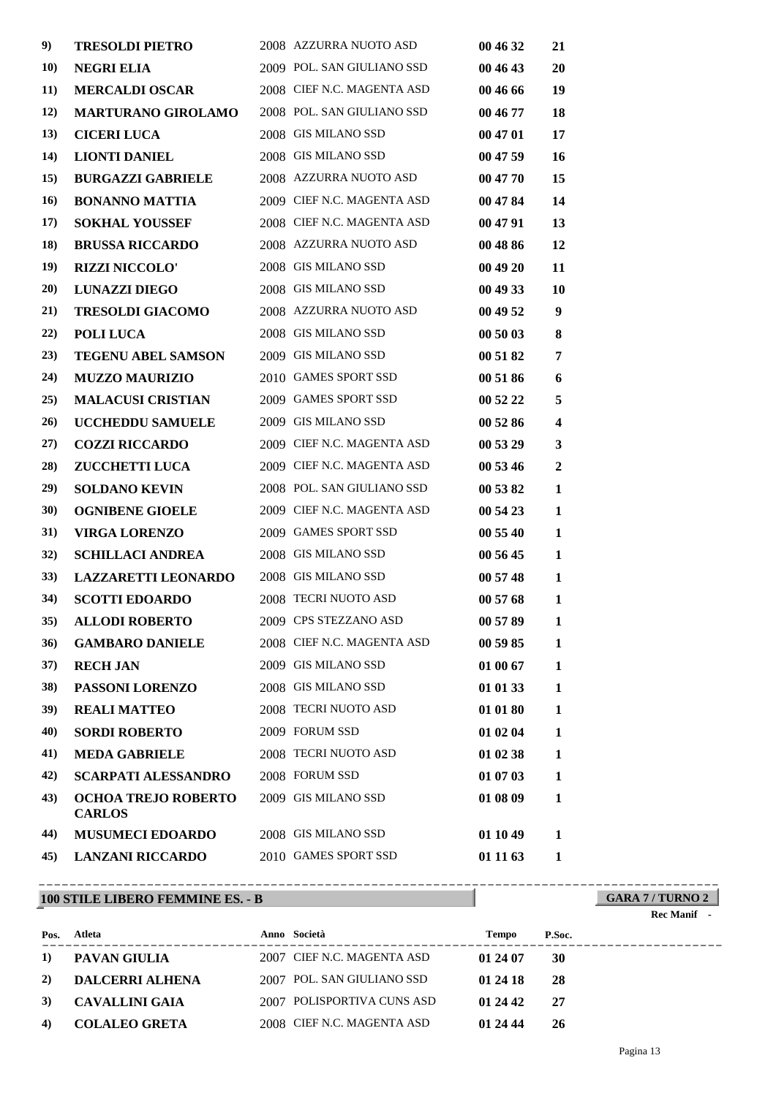| 9)          | <b>TRESOLDI PIETRO</b>     | 2008 AZZURRA NUOTO ASD     | 00 46 32 | 21                      |
|-------------|----------------------------|----------------------------|----------|-------------------------|
| <b>10)</b>  | <b>NEGRI ELIA</b>          | 2009 POL. SAN GIULIANO SSD | 00 46 43 | 20                      |
| <b>11</b> ) | <b>MERCALDI OSCAR</b>      | 2008 CIEF N.C. MAGENTA ASD | 00 46 66 | 19                      |
| 12)         | <b>MARTURANO GIROLAMO</b>  | 2008 POL. SAN GIULIANO SSD | 00 46 77 | 18                      |
| 13)         | <b>CICERI LUCA</b>         | 2008 GIS MILANO SSD        | 00 47 01 | 17                      |
| 14)         | <b>LIONTI DANIEL</b>       | 2008 GIS MILANO SSD        | 00 47 59 | 16                      |
| 15)         | <b>BURGAZZI GABRIELE</b>   | 2008 AZZURRA NUOTO ASD     | 00 47 70 | 15                      |
| 16)         | <b>BONANNO MATTIA</b>      | 2009 CIEF N.C. MAGENTA ASD | 00 47 84 | 14                      |
| 17)         | <b>SOKHAL YOUSSEF</b>      | 2008 CIEF N.C. MAGENTA ASD | 00 47 91 | 13                      |
| 18)         | <b>BRUSSA RICCARDO</b>     | 2008 AZZURRA NUOTO ASD     | 00 48 86 | 12                      |
| 19)         | <b>RIZZI NICCOLO'</b>      | 2008 GIS MILANO SSD        | 00 49 20 | 11                      |
| 20)         | <b>LUNAZZI DIEGO</b>       | 2008 GIS MILANO SSD        | 00 49 33 | 10                      |
| 21)         | <b>TRESOLDI GIACOMO</b>    | 2008 AZZURRA NUOTO ASD     | 00 49 52 | 9                       |
| 22)         | POLI LUCA                  | 2008 GIS MILANO SSD        | 00 50 03 | 8                       |
| (23)        | <b>TEGENU ABEL SAMSON</b>  | 2009 GIS MILANO SSD        | 00 51 82 | 7                       |
| 24)         | <b>MUZZO MAURIZIO</b>      | 2010 GAMES SPORT SSD       | 00 51 86 | 6                       |
| 25)         | <b>MALACUSI CRISTIAN</b>   | 2009 GAMES SPORT SSD       | 00 52 22 | 5                       |
| 26)         | <b>UCCHEDDU SAMUELE</b>    | 2009 GIS MILANO SSD        | 00 52 86 | $\overline{\mathbf{4}}$ |
| 27)         | <b>COZZI RICCARDO</b>      | 2009 CIEF N.C. MAGENTA ASD | 00 53 29 | 3                       |
| 28)         | <b>ZUCCHETTI LUCA</b>      | 2009 CIEF N.C. MAGENTA ASD | 00 53 46 | $\overline{2}$          |
| 29)         | <b>SOLDANO KEVIN</b>       | 2008 POL. SAN GIULIANO SSD | 00 53 82 | 1                       |
| <b>30</b> ) | <b>OGNIBENE GIOELE</b>     | 2009 CIEF N.C. MAGENTA ASD | 00 54 23 | 1                       |
| 31)         | <b>VIRGA LORENZO</b>       | 2009 GAMES SPORT SSD       | 00 55 40 | 1                       |
| 32)         | <b>SCHILLACI ANDREA</b>    | 2008 GIS MILANO SSD        | 00 56 45 | 1                       |
| 33)         | <b>LAZZARETTI LEONARDO</b> | 2008 GIS MILANO SSD        | 00 57 48 | 1                       |
| 34)         | <b>SCOTTI EDOARDO</b>      | 2008 TECRI NUOTO ASD       | 00 57 68 | 1                       |
| 35)         | <b>ALLODI ROBERTO</b>      | 2009 CPS STEZZANO ASD      | 00 57 89 | $\mathbf{1}$            |
| 36)         | <b>GAMBARO DANIELE</b>     | 2008 CIEF N.C. MAGENTA ASD | 00 59 85 | 1                       |
| 37)         | <b>RECH JAN</b>            | 2009 GIS MILANO SSD        | 01 00 67 | 1                       |
| 38)         | PASSONI LORENZO            | 2008 GIS MILANO SSD        | 01 01 33 | 1                       |
| <b>39</b> ) | <b>REALI MATTEO</b>        | 2008 TECRI NUOTO ASD       | 01 01 80 | 1                       |
| 40)         | <b>SORDI ROBERTO</b>       | 2009 FORUM SSD             | 01 02 04 | 1                       |
| 41)         | <b>MEDA GABRIELE</b>       | 2008 TECRI NUOTO ASD       | 01 02 38 | 1                       |
| 42)         | <b>SCARPATI ALESSANDRO</b> | 2008 FORUM SSD             | 01 07 03 | 1                       |
| 43)         | <b>OCHOA TREJO ROBERTO</b> | 2009 GIS MILANO SSD        | 01 08 09 | 1                       |
|             | <b>CARLOS</b>              |                            |          |                         |
| 44)         | <b>MUSUMECI EDOARDO</b>    | 2008 GIS MILANO SSD        | 01 10 49 | 1                       |
| 45)         | <b>LANZANI RICCARDO</b>    | 2010 GAMES SPORT SSD       | 01 11 63 | 1                       |

## **100 STILE LIBERO FEMMINE ES. - B**

# **GARA 7 / TURNO 2**

#### **Rec Manif -**

| Pos.       | Atleta                 | Anno Società               | Tempo    | P.Soc. |
|------------|------------------------|----------------------------|----------|--------|
| <b>1</b> ) | PAVAN GIULIA           | 2007 CIEF N.C. MAGENTA ASD | 01 24 07 | 30     |
| 2)         | <b>DALCERRI ALHENA</b> | 2007 POL. SAN GIULIANO SSD | 01 24 18 | -28    |
| 3)         | - CAVALLINI GAIA       | 2007 POLISPORTIVA CUNS ASD | 01 24 42 | -27    |
| 4)         | <b>COLALEO GRETA</b>   | 2008 CIEF N.C. MAGENTA ASD | 01 24 44 | 26     |

----------------------------------------------------------------------------------------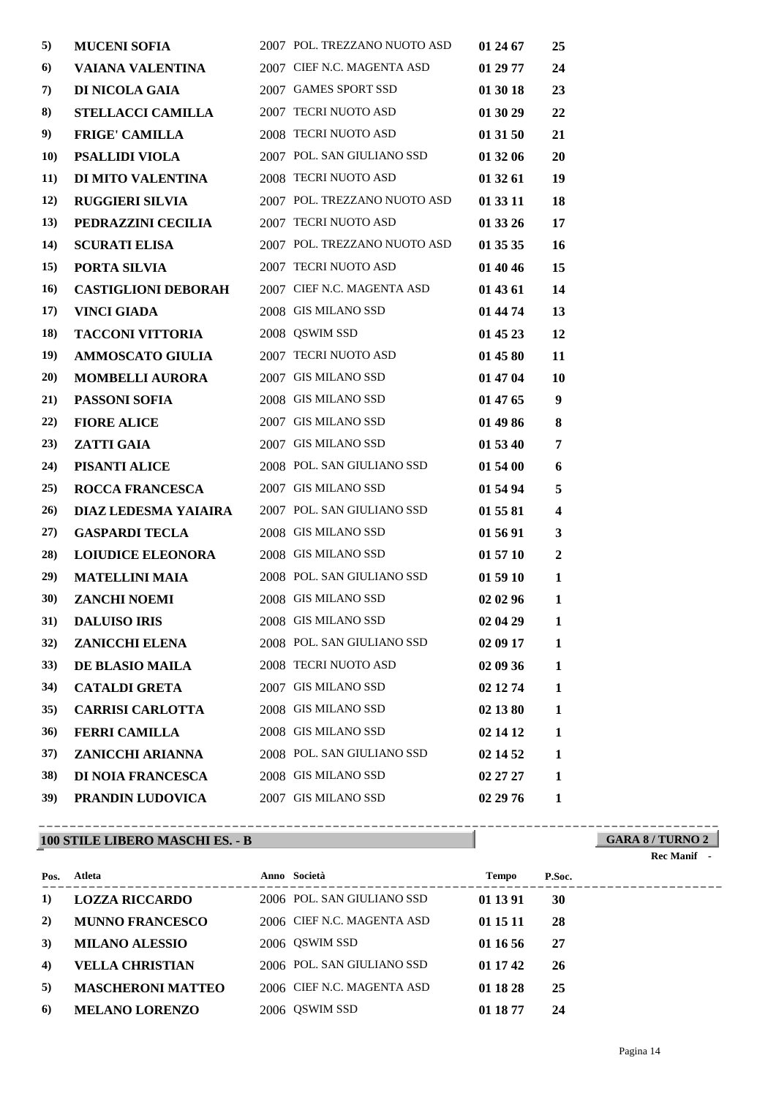| 5)          | <b>MUCENI SOFIA</b>        | 2007 POL. TREZZANO NUOTO ASD | 01 24 67 | 25               |
|-------------|----------------------------|------------------------------|----------|------------------|
| 6)          | VAIANA VALENTINA           | 2007 CIEF N.C. MAGENTA ASD   | 01 29 77 | 24               |
| 7)          | DI NICOLA GAIA             | 2007 GAMES SPORT SSD         | 01 30 18 | 23               |
| 8)          | <b>STELLACCI CAMILLA</b>   | 2007 TECRI NUOTO ASD         | 01 30 29 | 22               |
| 9)          | <b>FRIGE' CAMILLA</b>      | 2008 TECRI NUOTO ASD         | 01 31 50 | 21               |
| <b>10</b>   | <b>PSALLIDI VIOLA</b>      | 2007 POL. SAN GIULIANO SSD   | 01 32 06 | 20               |
| <b>11</b> ) | DI MITO VALENTINA          | 2008 TECRI NUOTO ASD         | 01 32 61 | 19               |
| 12)         | <b>RUGGIERI SILVIA</b>     | 2007 POL. TREZZANO NUOTO ASD | 01 33 11 | 18               |
| 13)         | PEDRAZZINI CECILIA         | 2007 TECRI NUOTO ASD         | 01 33 26 | 17               |
| 14)         | <b>SCURATI ELISA</b>       | 2007 POL. TREZZANO NUOTO ASD | 01 35 35 | 16               |
| 15)         | PORTA SILVIA               | 2007 TECRI NUOTO ASD         | 01 40 46 | 15               |
| 16)         | <b>CASTIGLIONI DEBORAH</b> | 2007 CIEF N.C. MAGENTA ASD   | 01 43 61 | 14               |
| 17)         | <b>VINCI GIADA</b>         | 2008 GIS MILANO SSD          | 01 44 74 | 13               |
| 18)         | <b>TACCONI VITTORIA</b>    | 2008 QSWIM SSD               | 01 45 23 | 12               |
| 19)         | <b>AMMOSCATO GIULIA</b>    | 2007 TECRI NUOTO ASD         | 01 45 80 | 11               |
| 20)         | <b>MOMBELLI AURORA</b>     | 2007 GIS MILANO SSD          | 01 47 04 | 10               |
| 21)         | <b>PASSONI SOFIA</b>       | 2008 GIS MILANO SSD          | 01 47 65 | 9                |
| 22)         | <b>FIORE ALICE</b>         | 2007 GIS MILANO SSD          | 01 49 86 | 8                |
| (23)        | <b>ZATTI GAIA</b>          | 2007 GIS MILANO SSD          | 01 53 40 | 7                |
| 24)         | PISANTI ALICE              | 2008 POL. SAN GIULIANO SSD   | 01 54 00 | 6                |
| 25)         | <b>ROCCA FRANCESCA</b>     | 2007 GIS MILANO SSD          | 01 54 94 | 5                |
| 26)         | DIAZ LEDESMA YAIAIRA       | 2007 POL. SAN GIULIANO SSD   | 01 55 81 | 4                |
| 27)         | <b>GASPARDI TECLA</b>      | 2008 GIS MILANO SSD          | 01 56 91 | 3                |
| 28)         | <b>LOIUDICE ELEONORA</b>   | 2008 GIS MILANO SSD          | 01 57 10 | $\boldsymbol{2}$ |
| 29)         | <b>MATELLINI MAIA</b>      | 2008 POL. SAN GIULIANO SSD   | 01 59 10 | 1                |
| <b>30</b> ) | <b>ZANCHI NOEMI</b>        | 2008 GIS MILANO SSD          | 02 02 96 | 1                |
| 31)         | <b>DALUISO IRIS</b>        | 2008 GIS MILANO SSD          | 02 04 29 | 1                |
| 32)         | <b>ZANICCHI ELENA</b>      | 2008 POL. SAN GIULIANO SSD   | 02 09 17 | 1                |
| <b>33</b> ) | <b>DE BLASIO MAILA</b>     | 2008 TECRI NUOTO ASD         | 02 09 36 | 1                |
| 34)         | <b>CATALDI GRETA</b>       | 2007 GIS MILANO SSD          | 02 12 74 | 1                |
| 35)         | <b>CARRISI CARLOTTA</b>    | 2008 GIS MILANO SSD          | 02 13 80 | 1                |
| 36)         | <b>FERRI CAMILLA</b>       | 2008 GIS MILANO SSD          | 02 14 12 | 1                |
| 37)         | <b>ZANICCHI ARIANNA</b>    | 2008 POL. SAN GIULIANO SSD   | 02 14 52 | 1                |
| <b>38</b> ) | <b>DI NOIA FRANCESCA</b>   | 2008 GIS MILANO SSD          | 02 27 27 | 1                |
| 39)         | PRANDIN LUDOVICA           | 2007 GIS MILANO SSD          | 02 29 76 | 1                |

## **100 STILE LIBERO MASCHI ES. - B**

| Pos.      | Atleta                   | Anno Società               | <b>Tempo</b> | P.Soc. |
|-----------|--------------------------|----------------------------|--------------|--------|
| $\bf{1)}$ | <b>LOZZA RICCARDO</b>    | 2006 POL. SAN GIULIANO SSD | 01 13 91     | 30     |
| 2)        | <b>MUNNO FRANCESCO</b>   | 2006 CIEF N.C. MAGENTA ASD | 01 15 11     | 28     |
| 3)        | <b>MILANO ALESSIO</b>    | 2006 QSWIM SSD             | 01 16 56     | 27     |
| 4)        | <b>VELLA CHRISTIAN</b>   | 2006 POL. SAN GIULIANO SSD | 01 17 42     | 26     |
| 5)        | <b>MASCHERONI MATTEO</b> | 2006 CIEF N.C. MAGENTA ASD | 01 18 28     | 25     |
| 6)        | <b>MELANO LORENZO</b>    | 2006 QSWIM SSD             | 01 18 77     | 24     |

----------------------------------------------------------------------------------------

## **GARA 8 / TURNO 2 Rec Manif -**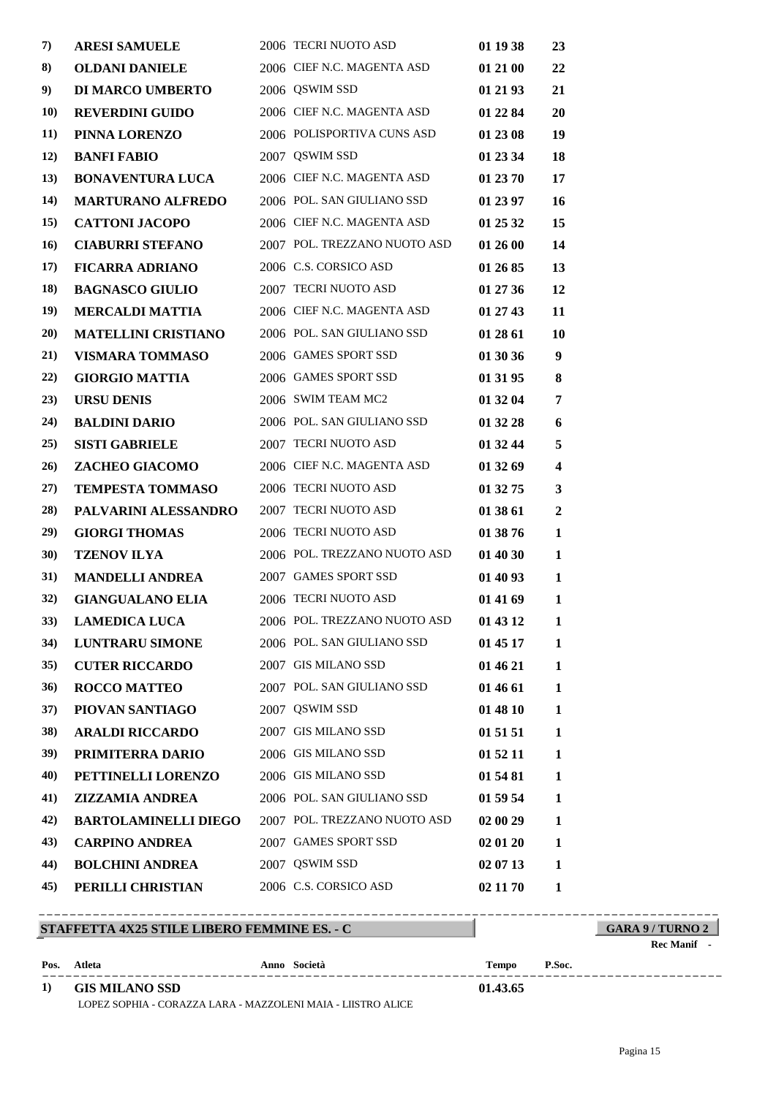| 7)          | <b>ARESI SAMUELE</b>        | 2006 TECRI NUOTO ASD         | 01 19 38 | 23                      |
|-------------|-----------------------------|------------------------------|----------|-------------------------|
| 8)          | <b>OLDANI DANIELE</b>       | 2006 CIEF N.C. MAGENTA ASD   | 01 21 00 | 22                      |
| 9)          | <b>DI MARCO UMBERTO</b>     | 2006 QSWIM SSD               | 01 21 93 | 21                      |
| <b>10</b> ) | <b>REVERDINI GUIDO</b>      | 2006 CIEF N.C. MAGENTA ASD   | 01 22 84 | 20                      |
| 11)         | PINNA LORENZO               | 2006 POLISPORTIVA CUNS ASD   | 01 23 08 | 19                      |
| <b>12</b> ) | <b>BANFI FABIO</b>          | 2007 QSWIM SSD               | 01 23 34 | 18                      |
| 13)         | <b>BONAVENTURA LUCA</b>     | 2006 CIEF N.C. MAGENTA ASD   | 01 23 70 | 17                      |
| 14)         | <b>MARTURANO ALFREDO</b>    | 2006 POL. SAN GIULIANO SSD   | 01 23 97 | 16                      |
| 15)         | <b>CATTONI JACOPO</b>       | 2006 CIEF N.C. MAGENTA ASD   | 01 25 32 | 15                      |
| 16)         | <b>CIABURRI STEFANO</b>     | 2007 POL. TREZZANO NUOTO ASD | 01 26 00 | 14                      |
| 17)         | <b>FICARRA ADRIANO</b>      | 2006 C.S. CORSICO ASD        | 01 26 85 | 13                      |
| 18)         | <b>BAGNASCO GIULIO</b>      | 2007 TECRI NUOTO ASD         | 01 27 36 | 12                      |
| 19)         | <b>MERCALDI MATTIA</b>      | 2006 CIEF N.C. MAGENTA ASD   | 01 27 43 | 11                      |
| 20)         | <b>MATELLINI CRISTIANO</b>  | 2006 POL. SAN GIULIANO SSD   | 01 28 61 | 10                      |
| 21)         | <b>VISMARA TOMMASO</b>      | 2006 GAMES SPORT SSD         | 01 30 36 | 9                       |
| 22)         | <b>GIORGIO MATTIA</b>       | 2006 GAMES SPORT SSD         | 01 31 95 | 8                       |
| (23)        | <b>URSU DENIS</b>           | 2006 SWIM TEAM MC2           | 01 32 04 | 7                       |
| 24)         | <b>BALDINI DARIO</b>        | 2006 POL. SAN GIULIANO SSD   | 01 32 28 | 6                       |
| 25)         | <b>SISTI GABRIELE</b>       | 2007 TECRI NUOTO ASD         | 01 32 44 | 5                       |
| 26)         | ZACHEO GIACOMO              | 2006 CIEF N.C. MAGENTA ASD   | 01 32 69 | $\overline{\mathbf{4}}$ |
| 27)         | <b>TEMPESTA TOMMASO</b>     | 2006 TECRI NUOTO ASD         | 01 32 75 | $\mathbf{3}$            |
| 28)         | PALVARINI ALESSANDRO        | 2007 TECRI NUOTO ASD         | 01 38 61 | $\boldsymbol{2}$        |
| 29)         | <b>GIORGI THOMAS</b>        | 2006 TECRI NUOTO ASD         | 01 38 76 | 1                       |
| <b>30</b> ) | <b>TZENOV ILYA</b>          | 2006 POL. TREZZANO NUOTO ASD | 01 40 30 | 1                       |
| 31)         | <b>MANDELLI ANDREA</b>      | 2007 GAMES SPORT SSD         | 01 40 93 | 1                       |
| 32)         | <b>GIANGUALANO ELIA</b>     | 2006 TECRI NUOTO ASD         | 01 41 69 | $\mathbf{1}$            |
| 33)         | <b>LAMEDICA LUCA</b>        | 2006 POL. TREZZANO NUOTO ASD | 01 43 12 | $\mathbf{1}$            |
| 34)         | <b>LUNTRARU SIMONE</b>      | 2006 POL. SAN GIULIANO SSD   | 01 45 17 | 1                       |
| 35)         | <b>CUTER RICCARDO</b>       | 2007 GIS MILANO SSD          | 01 46 21 | 1                       |
| 36)         | <b>ROCCO MATTEO</b>         | 2007 POL. SAN GIULIANO SSD   | 01 46 61 | 1                       |
| 37)         | PIOVAN SANTIAGO             | 2007 QSWIM SSD               | 01 48 10 | 1                       |
| <b>38</b> ) | <b>ARALDI RICCARDO</b>      | 2007 GIS MILANO SSD          | 01 51 51 | $\mathbf{1}$            |
| 39)         | PRIMITERRA DARIO            | 2006 GIS MILANO SSD          | 01 52 11 | 1                       |
| 40)         | PETTINELLI LORENZO          | 2006 GIS MILANO SSD          | 01 54 81 | 1                       |
| 41)         | <b>ZIZZAMIA ANDREA</b>      | 2006 POL. SAN GIULIANO SSD   | 01 59 54 | 1                       |
| 42)         | <b>BARTOLAMINELLI DIEGO</b> | 2007 POL. TREZZANO NUOTO ASD | 02 00 29 | 1                       |
| 43)         | <b>CARPINO ANDREA</b>       | 2007 GAMES SPORT SSD         | 02 01 20 | 1                       |
| 44)         | <b>BOLCHINI ANDREA</b>      | 2007 OSWIM SSD               | 02 07 13 | 1                       |
| 45)         | PERILLI CHRISTIAN           | 2006 C.S. CORSICO ASD        | 02 11 70 | 1                       |

|      | STAFFETTA 4X25 STILE LIBERO FEMMINE ES. - C |              |              | <b>GARA 9/TURNO 2</b> |           |
|------|---------------------------------------------|--------------|--------------|-----------------------|-----------|
|      |                                             |              |              |                       | Rec Manif |
| Pos. | Atleta                                      | Anno Società | <b>Tempo</b> | P.Soc.                |           |
| 1)   | <b>GIS MILANO SSD</b>                       |              | 01.43.65     |                       |           |

LOPEZ SOPHIA - CORAZZA LARA - MAZZOLENI MAIA - LIISTRO ALICE